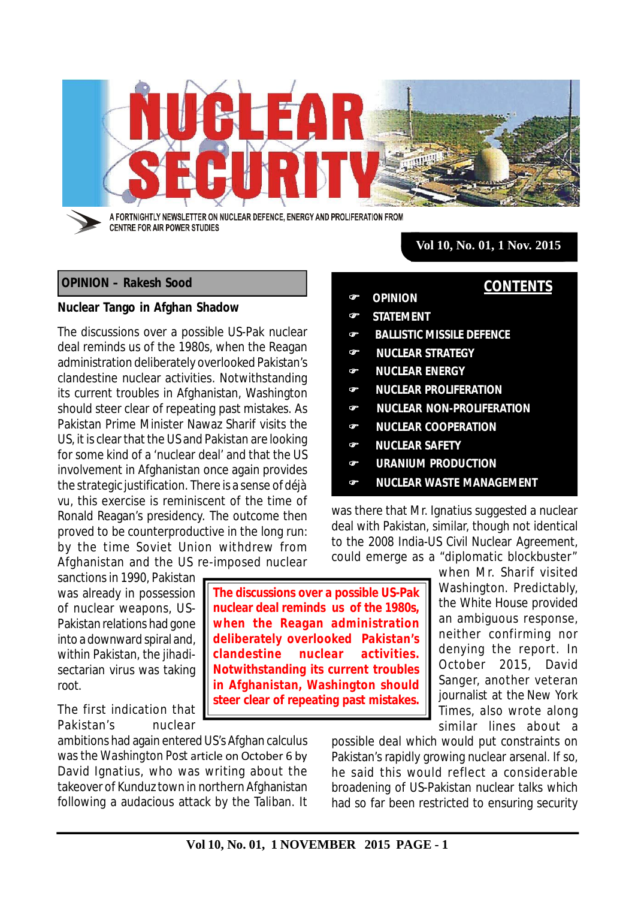

# **OPINION – Rakesh Sood**

#### **Nuclear Tango in Afghan Shadow**

The discussions over a possible US-Pak nuclear deal reminds us of the 1980s, when the Reagan administration deliberately overlooked Pakistan's clandestine nuclear activities. Notwithstanding its current troubles in Afghanistan, Washington should steer clear of repeating past mistakes. As Pakistan Prime Minister Nawaz Sharif visits the US, it is clear that the US and Pakistan are looking for some kind of a 'nuclear deal' and that the US involvement in Afghanistan once again provides the strategic justification. There is a sense of *déjà vu*, this exercise is reminiscent of the time of Ronald Reagan's presidency. The outcome then proved to be counterproductive in the long run: by the time Soviet Union withdrew from Afghanistan and the US re-imposed nuclear

sanctions in 1990, Pakistan was already in possession of nuclear weapons, US-Pakistan relations had gone into a downward spiral and, within Pakistan, the *jihadi*sectarian virus was taking root.

The first indication that Pakistan's nuclear

ambitions had again entered US's Afghan calculus was the *Washington Post* article on October 6 by David Ignatius, who was writing about the takeover of Kunduz town in northern Afghanistan following a audacious attack by the Taliban. It

**The discussions over a possible US-Pak nuclear deal reminds us of the 1980s, when the Reagan administration deliberately overlooked Pakistan's clandestine nuclear activities. Notwithstanding its current troubles in Afghanistan, Washington should steer clear of repeating past mistakes.**

**Vol 10, No. 01, 1 Nov. 2015**

**CONTENTS**

- **OPINION**
- **STATEMENT**
- **BALLISTIC MISSILE DEFENCE**
- **NUCLEAR STRATEGY**
- **NUCLEAR ENERGY**
- **NUCLEAR PROLIFERATION**
- **NUCLEAR NON-PROLIFERATION**
- **NUCLEAR COOPERATION**
- **NUCLEAR SAFETY**
- **URANIUM PRODUCTION**
- **NUCLEAR WASTE MANAGEMENT**

was there that Mr. Ignatius suggested a nuclear deal with Pakistan, similar, though not identical to the 2008 India-US Civil Nuclear Agreement, could emerge as a "diplomatic blockbuster"

> when Mr. Sharif visited Washington. Predictably, the White House provided an ambiguous response, neither confirming nor denying the report. In October 2015, David Sanger, another veteran journalist at the *New York Times*, also wrote along similar lines about a

possible deal which would put constraints on Pakistan's rapidly growing nuclear arsenal. If so, he said this would reflect a considerable broadening of US-Pakistan nuclear talks which had so far been restricted to ensuring security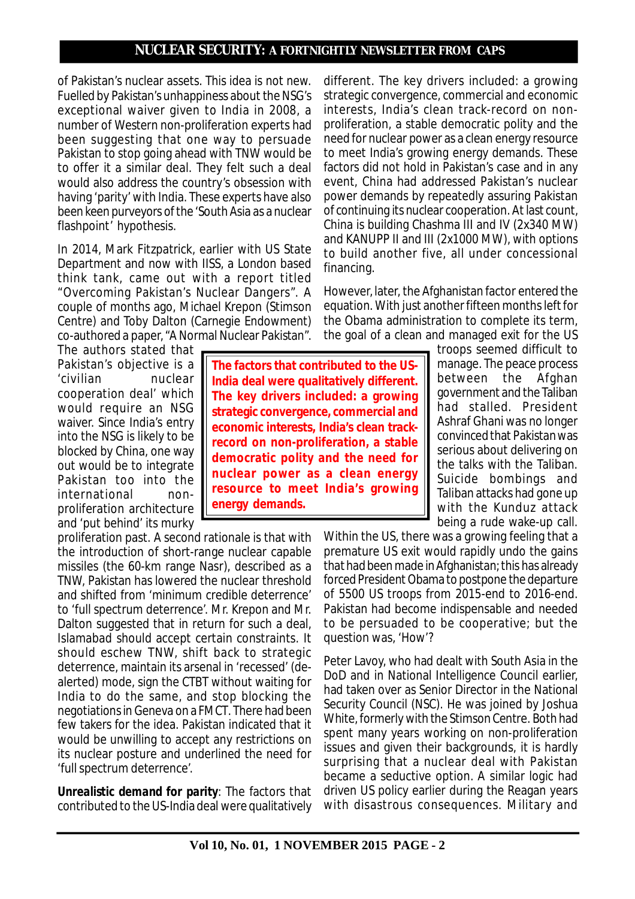of Pakistan's nuclear assets. This idea is not new. Fuelled by Pakistan's unhappiness about the NSG's exceptional waiver given to India in 2008, a number of Western non-proliferation experts had been suggesting that one way to persuade Pakistan to stop going ahead with TNW would be to offer it a similar deal. They felt such a deal would also address the country's obsession with having 'parity' with India. These experts have also been keen purveyors of the 'South Asia as a nuclear flashpoint' hypothesis.

In 2014, Mark Fitzpatrick, earlier with US State Department and now with IISS, a London based think tank, came out with a report titled "Overcoming Pakistan's Nuclear Dangers". A couple of months ago, Michael Krepon (Stimson Centre) and Toby Dalton (Carnegie Endowment) co-authored a paper, "A Normal Nuclear Pakistan".

The authors stated that Pakistan's objective is a 'civilian nuclear cooperation deal' which would require an NSG waiver. Since India's entry into the NSG is likely to be blocked by China, one way out would be to integrate Pakistan too into the international nonproliferation architecture and 'put behind' its murky

proliferation past. A second rationale is that with the introduction of short-range nuclear capable missiles (the 60-km range Nasr), described as a TNW, Pakistan has lowered the nuclear threshold and shifted from 'minimum credible deterrence' to 'full spectrum deterrence'. Mr. Krepon and Mr. Dalton suggested that in return for such a deal, Islamabad should accept certain constraints. It should eschew TNW, shift back to strategic deterrence, maintain its arsenal in 'recessed' (dealerted) mode, sign the CTBT without waiting for India to do the same, and stop blocking the negotiations in Geneva on a FMCT. There had been few takers for the idea. Pakistan indicated that it would be unwilling to accept any restrictions on its nuclear posture and underlined the need for 'full spectrum deterrence'.

*Unrealistic demand for parity:* The factors that contributed to the US-India deal were qualitatively

interests, India's clean track-record on nonproliferation, a stable democratic polity and the need for nuclear power as a clean energy resource to meet India's growing energy demands. These factors did not hold in Pakistan's case and in any event, China had addressed Pakistan's nuclear power demands by repeatedly assuring Pakistan of continuing its nuclear cooperation. At last count, China is building Chashma III and IV (2x340 MW) and KANUPP II and III (2x1000 MW), with options to build another five, all under concessional financing.

different. The key drivers included: a growing strategic convergence, commercial and economic

However, later, the Afghanistan factor entered the equation. With just another fifteen months left for the Obama administration to complete its term, the goal of a clean and managed exit for the US

> troops seemed difficult to manage. The peace process between the Afghan government and the Taliban had stalled. President Ashraf Ghani was no longer convinced that Pakistan was serious about delivering on the talks with the Taliban. Suicide bombings and Taliban attacks had gone up with the Kunduz attack being a rude wake-up call.

Within the US, there was a growing feeling that a premature US exit would rapidly undo the gains that had been made in Afghanistan; this has already forced President Obama to postpone the departure of 5500 US troops from 2015-end to 2016-end. Pakistan had become indispensable and needed to be persuaded to be cooperative; but the question was, 'How'?

Peter Lavoy, who had dealt with South Asia in the DoD and in National Intelligence Council earlier, had taken over as Senior Director in the National Security Council (NSC). He was joined by Joshua White, formerly with the Stimson Centre. Both had spent many years working on non-proliferation issues and given their backgrounds, it is hardly surprising that a nuclear deal with Pakistan became a seductive option. A similar logic had driven US policy earlier during the Reagan years with disastrous consequences. Military and

**The factors that contributed to the US-India deal were qualitatively different. The key drivers included: a growing strategic convergence, commercial and economic interests, India's clean trackrecord on non-proliferation, a stable democratic polity and the need for nuclear power as a clean energy resource to meet India's growing energy demands.**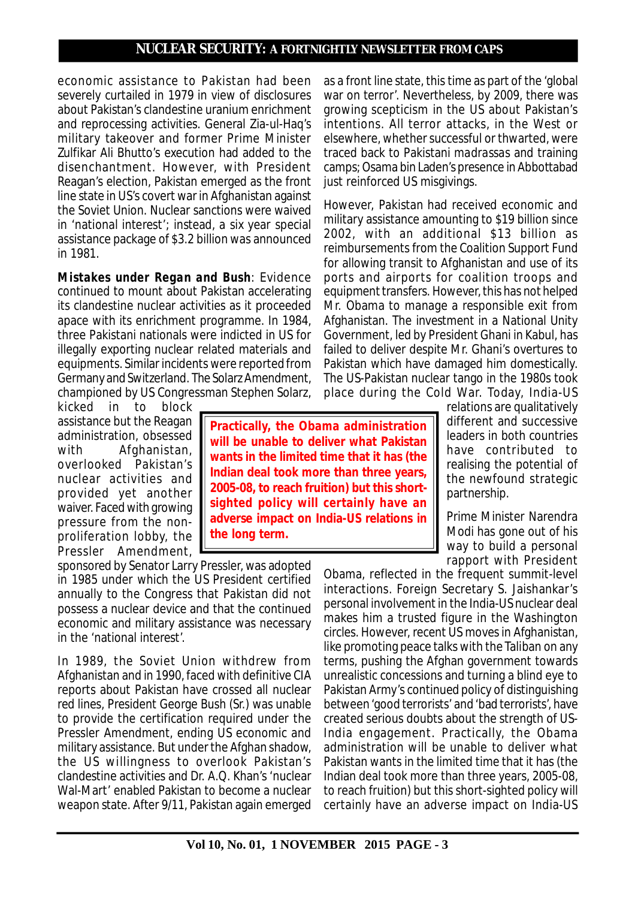economic assistance to Pakistan had been severely curtailed in 1979 in view of disclosures about Pakistan's clandestine uranium enrichment and reprocessing activities. General Zia-ul-Haq's military takeover and former Prime Minister Zulfikar Ali Bhutto's execution had added to the disenchantment. However, with President Reagan's election, Pakistan emerged as the front line state in US's covert war in Afghanistan against the Soviet Union. Nuclear sanctions were waived in 'national interest'; instead, a six year special assistance package of \$3.2 billion was announced in 1981.

*Mistakes under Regan and Bush:* Evidence continued to mount about Pakistan accelerating its clandestine nuclear activities as it proceeded apace with its enrichment programme. In 1984, three Pakistani nationals were indicted in US for illegally exporting nuclear related materials and equipments. Similar incidents were reported from Germany and Switzerland. The Solarz Amendment, championed by US Congressman Stephen Solarz,

kicked in to block assistance but the Reagan administration, obsessed with Afghanistan, overlooked Pakistan's nuclear activities and provided yet another waiver. Faced with growing pressure from the nonproliferation lobby, the Pressler Amendment,

sponsored by Senator Larry Pressler, was adopted in 1985 under which the US President certified annually to the Congress that Pakistan did not possess a nuclear device and that the continued economic and military assistance was necessary in the 'national interest'.

In 1989, the Soviet Union withdrew from Afghanistan and in 1990, faced with definitive CIA reports about Pakistan have crossed all nuclear red lines, President George Bush (Sr.) was unable to provide the certification required under the Pressler Amendment, ending US economic and military assistance. But under the Afghan shadow, the US willingness to overlook Pakistan's clandestine activities and Dr. A.Q. Khan's 'nuclear Wal-Mart' enabled Pakistan to become a nuclear weapon state. After 9/11, Pakistan again emerged

as a front line state, this time as part of the 'global war on terror'. Nevertheless, by 2009, there was growing scepticism in the US about Pakistan's intentions. All terror attacks, in the West or elsewhere, whether successful or thwarted, were traced back to Pakistani *madrassa*s and training camps; Osama bin Laden's presence in Abbottabad just reinforced US misgivings.

However, Pakistan had received economic and military assistance amounting to \$19 billion since 2002, with an additional \$13 billion as reimbursements from the Coalition Support Fund for allowing transit to Afghanistan and use of its ports and airports for coalition troops and equipment transfers. However, this has not helped Mr. Obama to manage a responsible exit from Afghanistan. The investment in a National Unity Government, led by President Ghani in Kabul, has failed to deliver despite Mr. Ghani's overtures to Pakistan which have damaged him domestically. The US-Pakistan nuclear tango in the 1980s took place during the Cold War. Today, India-US

**Practically, the Obama administration will be unable to deliver what Pakistan wants in the limited time that it has (the Indian deal took more than three years, 2005-08, to reach fruition) but this shortsighted policy will certainly have an adverse impact on India-US relations in the long term.**

relations are qualitatively different and successive leaders in both countries have contributed to realising the potential of the newfound strategic partnership.

Prime Minister Narendra Modi has gone out of his way to build a personal rapport with President

Obama, reflected in the frequent summit-level interactions. Foreign Secretary S. Jaishankar's personal involvement in the India-US nuclear deal makes him a trusted figure in the Washington circles. However, recent US moves in Afghanistan, like promoting peace talks with the Taliban on any terms, pushing the Afghan government towards unrealistic concessions and turning a blind eye to Pakistan Army's continued policy of distinguishing between 'good terrorists' and 'bad terrorists', have created serious doubts about the strength of US-India engagement. Practically, the Obama administration will be unable to deliver what Pakistan wants in the limited time that it has (the Indian deal took more than three years, 2005-08, to reach fruition) but this short-sighted policy will certainly have an adverse impact on India-US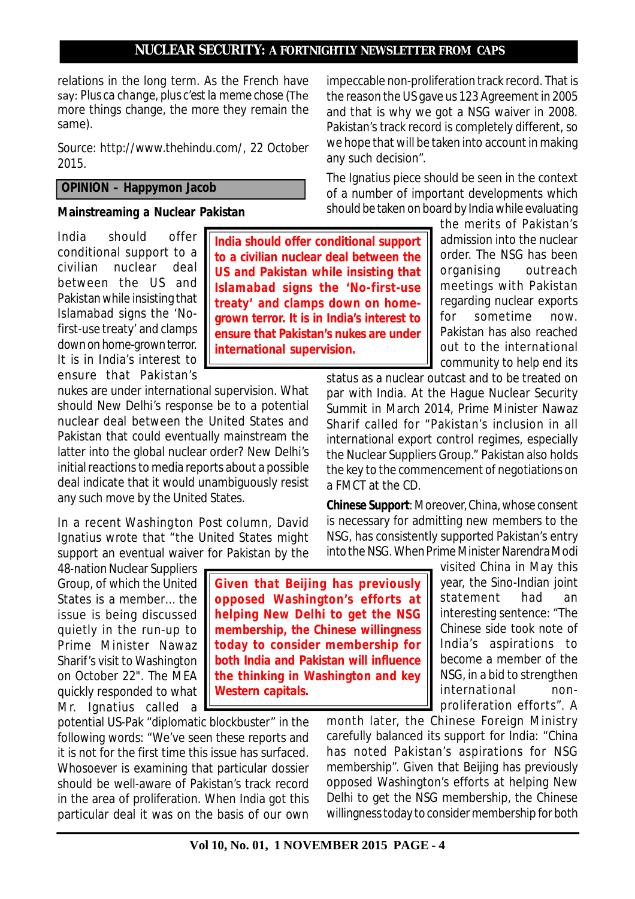relations in the long term. As the French have say: *Plus ca change, plus c'est la meme chose* (The more things change, the more they remain the same).

*Source: http://www.thehindu.com/, 22 October 2015.*

# **OPINION – Happymon Jacob**

#### **Mainstreaming a Nuclear Pakistan**

India should offer conditional support to a civilian nuclear deal between the US and Pakistan while insisting that Islamabad signs the 'Nofirst-use treaty' and clamps down on home-grown terror. It is in India's interest to ensure that Pakistan's

nukes are under international supervision. What should New Delhi's response be to a potential nuclear deal between the United States and Pakistan that could eventually mainstream the latter into the global nuclear order? New Delhi's initial reactions to media reports about a possible deal indicate that it would unambiguously resist any such move by the United States.

In a recent *Washington Post* column, David Ignatius wrote that "the United States might support an eventual waiver for Pakistan by the

48-nation Nuclear Suppliers Group, of which the United States is a member… the issue is being discussed quietly in the run-up to Prime Minister Nawaz Sharif's visit to Washington on October 22". The MEA quickly responded to what Mr. Ignatius called a

potential US-Pak "diplomatic blockbuster" in the following words: "We've seen these reports and it is not for the first time this issue has surfaced. Whosoever is examining that particular dossier should be well-aware of Pakistan's track record in the area of proliferation. When India got this particular deal it was on the basis of our own

impeccable non-proliferation track record. That is the reason the US gave us 123 Agreement in 2005 and that is why we got a NSG waiver in 2008. Pakistan's track record is completely different, so we hope that will be taken into account in making any such decision".

The Ignatius piece should be seen in the context of a number of important developments which should be taken on board by India while evaluating

the merits of Pakistan's admission into the nuclear order. The NSG has been organising outreach meetings with Pakistan regarding nuclear exports for sometime now. Pakistan has also reached out to the international community to help end its

status as a nuclear outcast and to be treated on par with India. At the Hague Nuclear Security Summit in March 2014, Prime Minister Nawaz Sharif called for "Pakistan's inclusion in all international export control regimes, especially the Nuclear Suppliers Group." Pakistan also holds the key to the commencement of negotiations on a FMCT at the CD.

*Chinese Support:* Moreover, China, whose consent is necessary for admitting new members to the NSG, has consistently supported Pakistan's entry into the NSG. When Prime Minister Narendra Modi

> visited China in May this year, the Sino-Indian joint statement had an interesting sentence: "The Chinese side took note of India's aspirations to become a member of the NSG, in a bid to strengthen international nonproliferation efforts". A

month later, the Chinese Foreign Ministry carefully balanced its support for India: "China has noted Pakistan's aspirations for NSG membership". Given that Beijing has previously opposed Washington's efforts at helping New Delhi to get the NSG membership, the Chinese willingness today to consider membership for both

**grown terror. It is in India's interest to ensure that Pakistan's nukes are under international supervision.**

**Given that Beijing has previously opposed Washington's efforts at helping New Delhi to get the NSG membership, the Chinese willingness today to consider membership for both India and Pakistan will influence the thinking in Washington and key**

**Western capitals.**

**India should offer conditional support to a civilian nuclear deal between the US and Pakistan while insisting that Islamabad signs the 'No-first-use treaty' and clamps down on home-**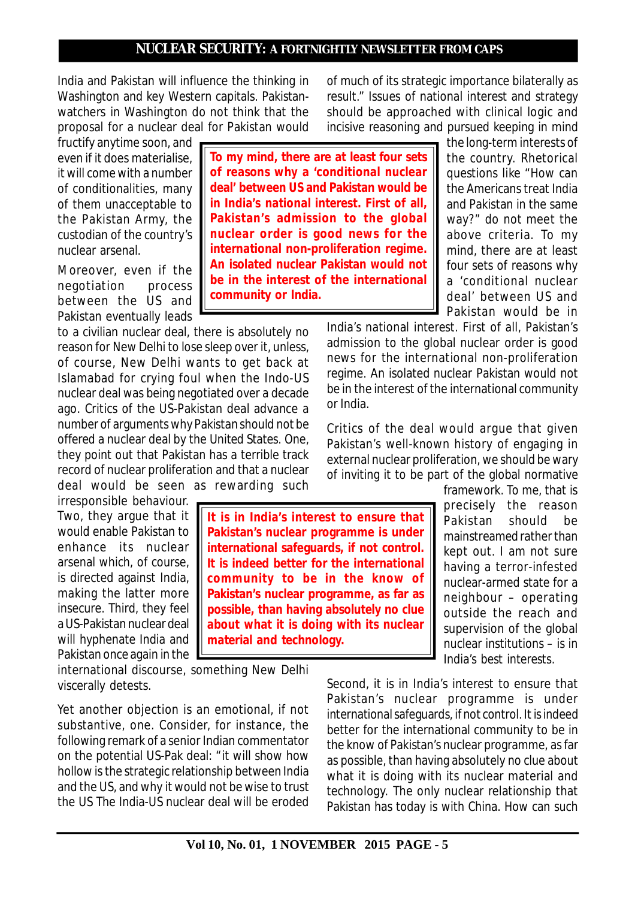India and Pakistan will influence the thinking in Washington and key Western capitals. Pakistanwatchers in Washington do not think that the proposal for a nuclear deal for Pakistan would

fructify anytime soon, and even if it does materialise, it will come with a number of conditionalities, many of them unacceptable to the Pakistan Army, the custodian of the country's nuclear arsenal.

Moreover, even if the negotiation process between the US and Pakistan eventually leads

to a civilian nuclear deal, there is absolutely no reason for New Delhi to lose sleep over it, unless, of course, New Delhi wants to get back at Islamabad for crying foul when the Indo-US nuclear deal was being negotiated over a decade ago. Critics of the US-Pakistan deal advance a number of arguments why Pakistan should not be offered a nuclear deal by the United States. One, they point out that Pakistan has a terrible track record of nuclear proliferation and that a nuclear deal would be seen as rewarding such

irresponsible behaviour. Two, they argue that it would enable Pakistan to enhance its nuclear arsenal which, of course, is directed against India, making the latter more insecure. Third, they feel a US-Pakistan nuclear deal will hyphenate India and Pakistan once again in the

international discourse, something New Delhi viscerally detests.

Yet another objection is an emotional, if not substantive, one. Consider, for instance, the following remark of a senior Indian commentator on the potential US-Pak deal: "it will show how hollow is the strategic relationship between India and the US, and why it would not be wise to trust the US The India-US nuclear deal will be eroded

of much of its strategic importance bilaterally as result." Issues of national interest and strategy should be approached with clinical logic and incisive reasoning and pursued keeping in mind

**To my mind, there are at least four sets of reasons why a 'conditional nuclear deal' between US and Pakistan would be in India's national interest. First of all, Pakistan's admission to the global nuclear order is good news for the international non-proliferation regime. An isolated nuclear Pakistan would not be in the interest of the international community or India.**

the long-term interests of the country. Rhetorical questions like "How can the Americans treat India and Pakistan in the same way?" do not meet the above criteria. To my mind, there are at least four sets of reasons why a 'conditional nuclear deal' between US and Pakistan would be in

India's national interest. First of all, Pakistan's admission to the global nuclear order is good news for the international non-proliferation regime. An isolated nuclear Pakistan would not be in the interest of the international community or India.

Critics of the deal would argue that given Pakistan's well-known history of engaging in external nuclear proliferation, we should be wary of inviting it to be part of the global normative

> framework. To me, that is precisely the reason Pakistan should be mainstreamed rather than kept out. I am not sure having a terror-infested nuclear-armed state for a neighbour – operating outside the reach and supervision of the global nuclear institutions – is in India's best interests.

Second, it is in India's interest to ensure that Pakistan's nuclear programme is under international safeguards, if not control. It is indeed better for the international community to be in the know of Pakistan's nuclear programme, as far as possible, than having absolutely no clue about what it is doing with its nuclear material and technology. The only nuclear relationship that Pakistan has today is with China. How can such

**Pakistan's nuclear programme is under international safeguards, if not control. It is indeed better for the international community to be in the know of Pakistan's nuclear programme, as far as possible, than having absolutely no clue about what it is doing with its nuclear material and technology.**

**It is in India's interest to ensure that**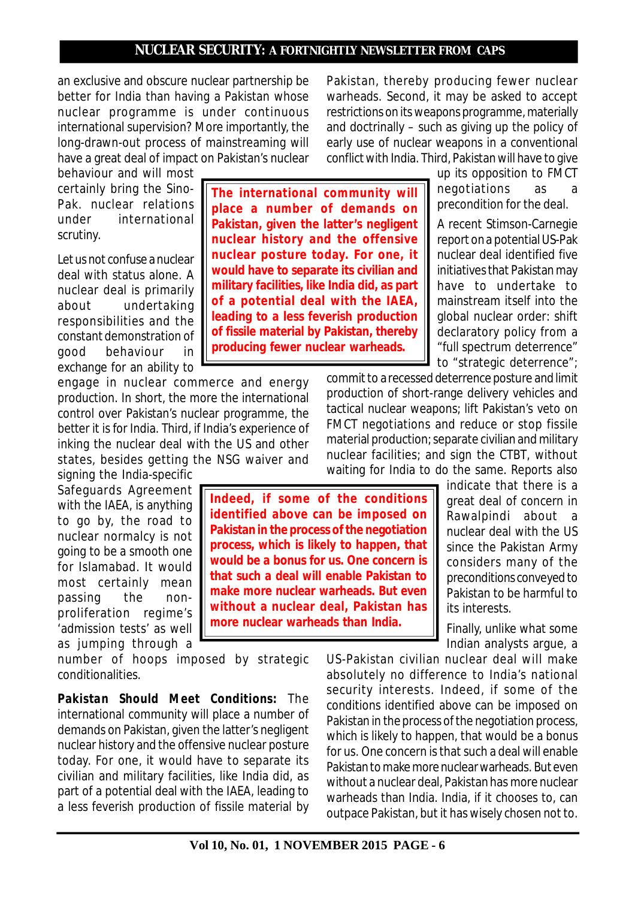an exclusive and obscure nuclear partnership be better for India than having a Pakistan whose nuclear programme is under continuous international supervision? More importantly, the long-drawn-out process of mainstreaming will have a great deal of impact on Pakistan's nuclear

behaviour and will most certainly bring the Sino-Pak. nuclear relations under international scrutiny.

Let us not confuse a nuclear deal with status alone. A nuclear deal is primarily about undertaking responsibilities and the constant demonstration of good behaviour in exchange for an ability to

engage in nuclear commerce and energy production. In short, the more the international control over Pakistan's nuclear programme, the better it is for India. Third, if India's experience of inking the nuclear deal with the US and other states, besides getting the NSG waiver and

signing the India-specific Safeguards Agreement with the IAEA, is anything to go by, the road to nuclear normalcy is not going to be a smooth one for Islamabad. It would most certainly mean passing the nonproliferation regime's 'admission tests' as well as jumping through a

number of hoops imposed by strategic conditionalities.

*Pakistan Should Meet Conditions:* The international community will place a number of demands on Pakistan, given the latter's negligent nuclear history and the offensive nuclear posture today. For one, it would have to separate its civilian and military facilities, like India did, as part of a potential deal with the IAEA, leading to a less feverish production of fissile material by

**The international community will place a number of demands on Pakistan, given the latter's negligent nuclear history and the offensive nuclear posture today. For one, it would have to separate its civilian and military facilities, like India did, as part of a potential deal with the IAEA, leading to a less feverish production of fissile material by Pakistan, thereby**

**producing fewer nuclear warheads.**

**Indeed, if some of the conditions identified above can be imposed on Pakistan in the process of the negotiation process, which is likely to happen, that would be a bonus for us. One concern is that such a deal will enable Pakistan to make more nuclear warheads. But even without a nuclear deal, Pakistan has more nuclear warheads than India.**

Pakistan, thereby producing fewer nuclear warheads. Second, it may be asked to accept restrictions on its weapons programme, materially and doctrinally – such as giving up the policy of early use of nuclear weapons in a conventional conflict with India. Third, Pakistan will have to give

> up its opposition to FMCT negotiations as a precondition for the deal.

A recent Stimson-Carnegie report on a potential US-Pak nuclear deal identified five initiatives that Pakistan may have to undertake to mainstream itself into the global nuclear order: shift declaratory policy from a "full spectrum deterrence" to "strategic deterrence";

commit to a recessed deterrence posture and limit production of short-range delivery vehicles and tactical nuclear weapons; lift Pakistan's veto on FMCT negotiations and reduce or stop fissile material production; separate civilian and military nuclear facilities; and sign the CTBT, without waiting for India to do the same. Reports also

indicate that there is a great deal of concern in Rawalpindi about a nuclear deal with the US since the Pakistan Army considers many of the preconditions conveyed to Pakistan to be harmful to its interests.

Finally, unlike what some Indian analysts argue, a

US-Pakistan civilian nuclear deal will make absolutely no difference to India's national security interests. Indeed, if some of the conditions identified above can be imposed on Pakistan in the process of the negotiation process, which is likely to happen, that would be a bonus for us. One concern is that such a deal will enable Pakistan to make more nuclear warheads. But even without a nuclear deal, Pakistan has more nuclear warheads than India. India, if it chooses to, can outpace Pakistan, but it has wisely chosen not to.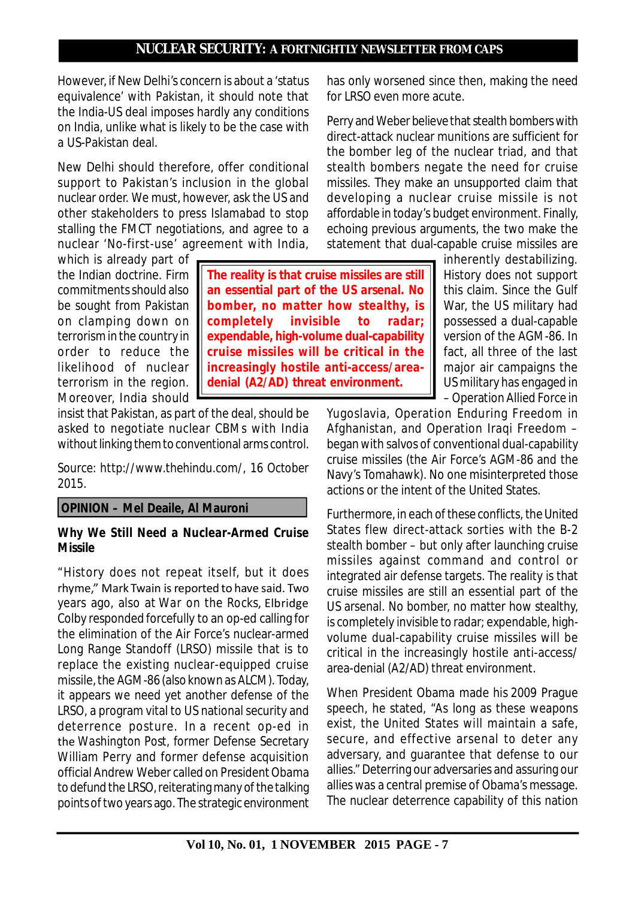However, if New Delhi's concern is about a 'status equivalence' with Pakistan, it should note that the India-US deal imposes hardly any conditions on India, unlike what is likely to be the case with a US-Pakistan deal.

New Delhi should therefore, offer conditional support to Pakistan's inclusion in the global nuclear order. We must, however, ask the US and other stakeholders to press Islamabad to stop stalling the FMCT negotiations, and agree to a nuclear 'No-first-use' agreement with India,

which is already part of the Indian doctrine. Firm commitments should also be sought from Pakistan on clamping down on terrorism in the country in order to reduce the likelihood of nuclear terrorism in the region. Moreover, India should

insist that Pakistan, as part of the deal, should be asked to negotiate nuclear CBMs with India without linking them to conventional arms control.

*Source: http://www.thehindu.com/, 16 October 2015.*

# **OPINION – Mel Deaile, Al Mauroni**

# **Why We Still Need a Nuclear-Armed Cruise Missile**

"History does not repeat itself, but it does rhyme," Mark Twain is reported to have said. Two years ago, also at *War on the Rocks*, Elbridge Colby responded forcefully to an op-ed calling for the elimination of the Air Force's nuclear-armed Long Range Standoff (LRSO) missile that is to replace the existing nuclear-equipped cruise missile, the AGM-86 (also known as ALCM). Today, it appears we need yet another defense of the LRSO, a program vital to US national security and deterrence posture. In a recent op-ed in the *Washington Post*, former Defense Secretary William Perry and former defense acquisition official Andrew Weber called on President Obama to defund the LRSO, reiterating many of the talking points of two years ago. The strategic environment has only worsened since then, making the need for LRSO even more acute.

Perry and Weber believe that stealth bombers with direct-attack nuclear munitions are sufficient for the bomber leg of the nuclear triad, and that stealth bombers negate the need for cruise missiles. They make an unsupported claim that developing a nuclear cruise missile is not affordable in today's budget environment. Finally, echoing previous arguments, the two make the statement that dual-capable cruise missiles are

> inherently destabilizing. History does not support this claim. Since the Gulf War, the US military had possessed a dual-capable version of the AGM-86. In fact, all three of the last major air campaigns the US military has engaged in – Operation Allied Force in

Yugoslavia, Operation Enduring Freedom in Afghanistan, and Operation Iraqi Freedom – began with salvos of conventional dual-capability cruise missiles (the Air Force's AGM-86 and the Navy's Tomahawk). No one misinterpreted those actions or the intent of the United States.

Furthermore, in each of these conflicts, the United States flew direct-attack sorties with the B-2 stealth bomber – but only after launching cruise missiles against command and control or integrated air defense targets. The reality is that cruise missiles are still an essential part of the US arsenal. No bomber, no matter how stealthy, is completely invisible to radar; expendable, highvolume dual-capability cruise missiles will be critical in the increasingly hostile anti-access/ area-denial (A2/AD) threat environment.

When President Obama made his 2009 Prague speech, he stated, "As long as these weapons exist, the United States will maintain a safe, secure, and effective arsenal to deter any adversary, and guarantee that defense to our allies." Deterring our adversaries and assuring our allies was a central premise of Obama's message. The nuclear deterrence capability of this nation

# **The reality is that cruise missiles are still an essential part of the US arsenal. No bomber, no matter how stealthy, is completely invisible to radar; expendable, high-volume dual-capability cruise missiles will be critical in the increasingly hostile anti-access/areadenial (A2/AD) threat environment.**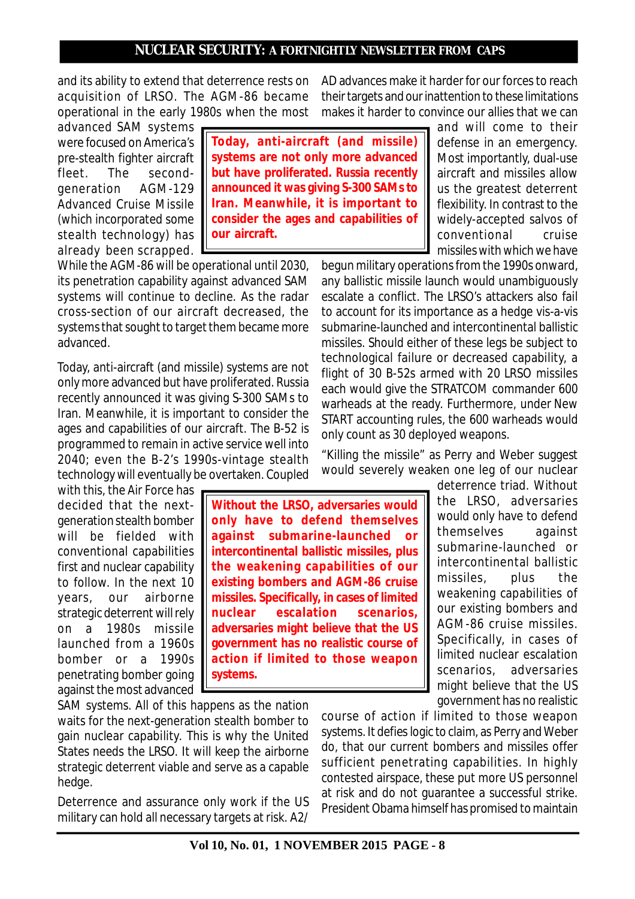and its ability to extend that deterrence rests on acquisition of LRSO. The AGM-86 became operational in the early 1980s when the most

advanced SAM systems were focused on America's pre-stealth fighter aircraft fleet. The secondgeneration AGM-129 Advanced Cruise Missile (which incorporated some stealth technology) has already been scrapped.

**Today, anti-aircraft (and missile) systems are not only more advanced but have proliferated. Russia recently announced it was giving S-300 SAMs to Iran. Meanwhile, it is important to consider the ages and capabilities of our aircraft.**

While the AGM-86 will be operational until 2030, its penetration capability against advanced SAM systems will continue to decline. As the radar cross-section of our aircraft decreased, the systems that sought to target them became more advanced.

Today, anti-aircraft (and missile) systems are not only more advanced but have proliferated. Russia recently announced it was giving S-300 SAMs to Iran. Meanwhile, it is important to consider the ages and capabilities of our aircraft. The B-52 is programmed to remain in active service well into 2040; even the B-2's 1990s-vintage stealth technology will eventually be overtaken. Coupled

with this, the Air Force has decided that the nextgeneration stealth bomber will be fielded with conventional capabilities first and nuclear capability to follow. In the next 10 years, our airborne strategic deterrent will rely on a 1980s missile launched from a 1960s bomber or a 1990s penetrating bomber going against the most advanced

**Without the LRSO, adversaries would only have to defend themselves against submarine-launched or intercontinental ballistic missiles, plus the weakening capabilities of our existing bombers and AGM-86 cruise missiles. Specifically, in cases of limited nuclear escalation scenarios, adversaries might believe that the US government has no realistic course of action if limited to those weapon systems.**

SAM systems. All of this happens as the nation waits for the next-generation stealth bomber to gain nuclear capability. This is why the United States needs the LRSO. It will keep the airborne strategic deterrent viable and serve as a capable hedge.

Deterrence and assurance only work if the US military can hold all necessary targets at risk. A2/ AD advances make it harder for our forces to reach their targets and our inattention to these limitations makes it harder to convince our allies that we can

> and will come to their defense in an emergency. Most importantly, dual-use aircraft and missiles allow us the greatest deterrent flexibility. In contrast to the widely-accepted salvos of conventional cruise missiles with which we have

begun military operations from the 1990s onward, any ballistic missile launch would unambiguously escalate a conflict. The LRSO's attackers also fail to account for its importance as a hedge vis-a-vis submarine-launched and intercontinental ballistic missiles. Should either of these legs be subject to technological failure or decreased capability, a flight of 30 B-52s armed with 20 LRSO missiles each would give the STRATCOM commander 600 warheads at the ready. Furthermore, under New START accounting rules, the 600 warheads would only count as 30 deployed weapons.

"Killing the missile" as Perry and Weber suggest would severely weaken one leg of our nuclear

> deterrence triad. Without the LRSO, adversaries would only have to defend themselves against submarine-launched or intercontinental ballistic missiles, plus the weakening capabilities of our existing bombers and AGM-86 cruise missiles. Specifically, in cases of limited nuclear escalation scenarios, adversaries might believe that the US government has no realistic

course of action if limited to those weapon systems. It defies logic to claim, as Perry and Weber do, that our current bombers and missiles offer sufficient penetrating capabilities. In highly contested airspace, these put more US personnel at risk and do not guarantee a successful strike. President Obama himself has promised to maintain

**Vol 10, No. 01, 1 NOVEMBER 2015 PAGE - 8**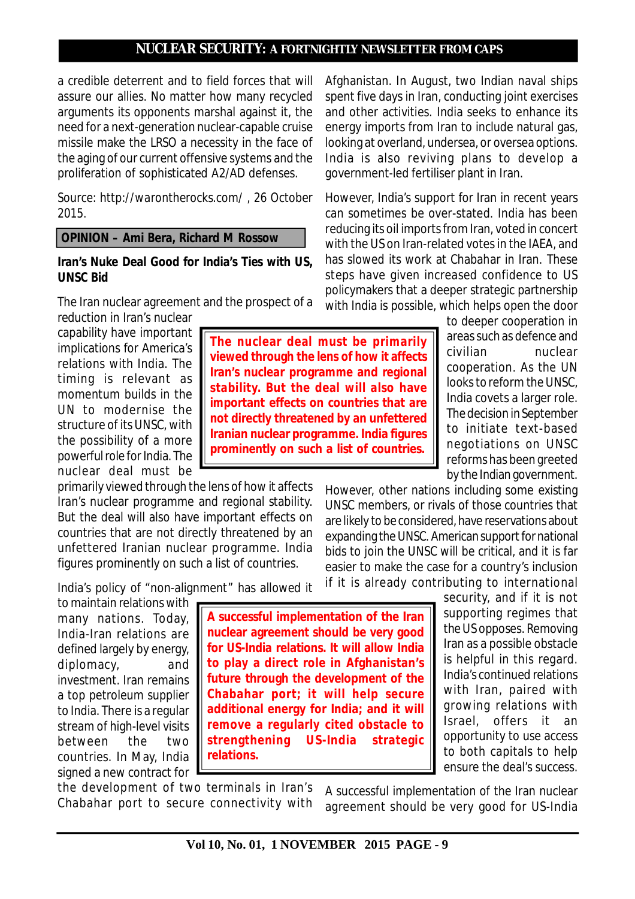a credible deterrent and to field forces that will assure our allies. No matter how many recycled arguments its opponents marshal against it, the need for a next-generation nuclear-capable cruise missile make the LRSO a necessity in the face of the aging of our current offensive systems and the proliferation of sophisticated A2/AD defenses.

*Source: http://warontherocks.com/ , 26 October 2015.*

 **OPINION – Ami Bera, Richard M Rossow**

#### **Iran's Nuke Deal Good for India's Ties with US, UNSC Bid**

The Iran nuclear agreement and the prospect of a reduction in Iran's nuclear

capability have important implications for America's relations with India. The timing is relevant as momentum builds in the UN to modernise the structure of its UNSC, with the possibility of a more powerful role for India. The nuclear deal must be

primarily viewed through the lens of how it affects Iran's nuclear programme and regional stability. But the deal will also have important effects on countries that are not directly threatened by an unfettered Iranian nuclear programme. India figures prominently on such a list of countries.

India's policy of "non-alignment" has allowed it

to maintain relations with many nations. Today, India-Iran relations are defined largely by energy, diplomacy, and investment. Iran remains a top petroleum supplier to India. There is a regular stream of high-level visits between the two countries. In May, India signed a new contract for

**A successful implementation of the Iran nuclear agreement should be very good for US-India relations. It will allow India to play a direct role in Afghanistan's future through the development of the Chabahar port; it will help secure additional energy for India; and it will remove a regularly cited obstacle to strengthening US-India strategic relations.**

the development of two terminals in Iran's Chabahar port to secure connectivity with

Afghanistan. In August, two Indian naval ships spent five days in Iran, conducting joint exercises and other activities. India seeks to enhance its energy imports from Iran to include natural gas, looking at overland, undersea, or oversea options. India is also reviving plans to develop a government-led fertiliser plant in Iran.

However, India's support for Iran in recent years can sometimes be over-stated. India has been reducing its oil imports from Iran, voted in concert with the US on Iran-related votes in the IAEA, and has slowed its work at Chabahar in Iran. These steps have given increased confidence to US policymakers that a deeper strategic partnership with India is possible, which helps open the door

> to deeper cooperation in areas such as defence and civilian nuclear cooperation. As the UN looks to reform the UNSC, India covets a larger role. The decision in September to initiate text-based negotiations on UNSC reforms has been greeted by the Indian government.

However, other nations including some existing UNSC members, or rivals of those countries that are likely to be considered, have reservations about expanding the UNSC. American support for national bids to join the UNSC will be critical, and it is far easier to make the case for a country's inclusion if it is already contributing to international

> security, and if it is not supporting regimes that the US opposes. Removing Iran as a possible obstacle is helpful in this regard. India's continued relations with Iran, paired with growing relations with Israel, offers it an opportunity to use access to both capitals to help ensure the deal's success.

A successful implementation of the Iran nuclear agreement should be very good for US-India

# **The nuclear deal must be primarily viewed through the lens of how it affects Iran's nuclear programme and regional stability. But the deal will also have important effects on countries that are not directly threatened by an unfettered Iranian nuclear programme. India figures prominently on such a list of countries.**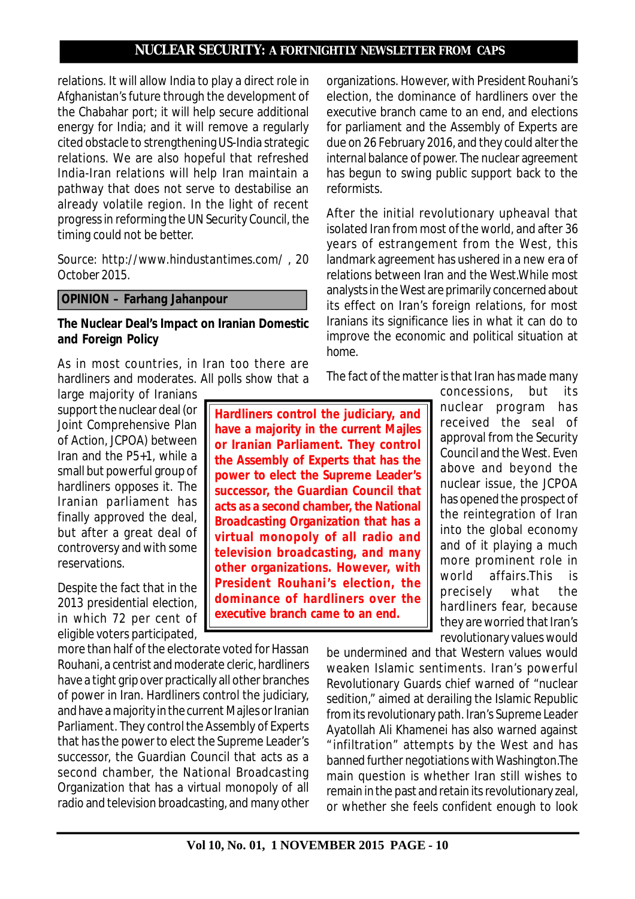relations. It will allow India to play a direct role in Afghanistan's future through the development of the Chabahar port; it will help secure additional energy for India; and it will remove a regularly cited obstacle to strengthening US-India strategic relations. We are also hopeful that refreshed India-Iran relations will help Iran maintain a pathway that does not serve to destabilise an already volatile region. In the light of recent progress in reforming the UN Security Council, the timing could not be better.

*Source: http://www.hindustantimes.com/ , 20 October 2015.*

#### **OPINION – Farhang Jahanpour**

#### **The Nuclear Deal's Impact on Iranian Domestic and Foreign Policy**

As in most countries, in Iran too there are hardliners and moderates. All polls show that a

large majority of Iranians support the nuclear deal (or Joint Comprehensive Plan of Action, JCPOA) between Iran and the P5+1, while a small but powerful group of hardliners opposes it. The Iranian parliament has finally approved the deal, but after a great deal of controversy and with some reservations.

Despite the fact that in the 2013 presidential election, in which 72 per cent of eligible voters participated,

more than half of the electorate voted for Hassan Rouhani, a centrist and moderate cleric, hardliners have a tight grip over practically all other branches of power in Iran. Hardliners control the judiciary, and have a majority in the current Majles or Iranian Parliament. They control the Assembly of Experts that has the power to elect the Supreme Leader's successor, the Guardian Council that acts as a second chamber, the National Broadcasting Organization that has a virtual monopoly of all radio and television broadcasting, and many other organizations. However, with President Rouhani's election, the dominance of hardliners over the executive branch came to an end, and elections for parliament and the Assembly of Experts are due on 26 February 2016, and they could alter the internal balance of power. The nuclear agreement has begun to swing public support back to the reformists.

After the initial revolutionary upheaval that isolated Iran from most of the world, and after 36 years of estrangement from the West, this landmark agreement has ushered in a new era of relations between Iran and the West.While most analysts in the West are primarily concerned about its effect on Iran's foreign relations, for most Iranians its significance lies in what it can do to improve the economic and political situation at home.

The fact of the matter is that Iran has made many

**Hardliners control the judiciary, and have a majority in the current Majles or Iranian Parliament. They control the Assembly of Experts that has the power to elect the Supreme Leader's successor, the Guardian Council that acts as a second chamber, the National Broadcasting Organization that has a virtual monopoly of all radio and television broadcasting, and many other organizations. However, with President Rouhani 's election, the dominance of hardliners over the executive branch came to an end.**

concessions, but its nuclear program has received the seal of approval from the Security Council and the West. Even above and beyond the nuclear issue, the JCPOA has opened the prospect of the reintegration of Iran into the global economy and of it playing a much more prominent role in world affairs.This is precisely what the hardliners fear, because they are worried that Iran's revolutionary values would

be undermined and that Western values would weaken Islamic sentiments. Iran's powerful Revolutionary Guards chief warned of "nuclear sedition," aimed at derailing the Islamic Republic from its revolutionary path. Iran's Supreme Leader Ayatollah Ali Khamenei has also warned against "infiltration" attempts by the West and has banned further negotiations with Washington.The main question is whether Iran still wishes to remain in the past and retain its revolutionary zeal, or whether she feels confident enough to look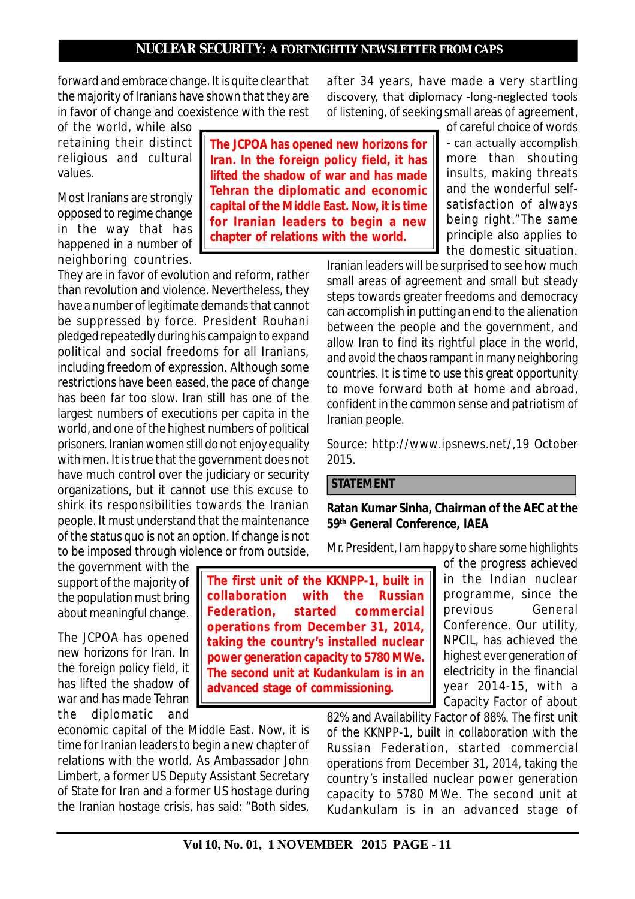**The JCPOA has opened new horizons for Iran. In the foreign policy field, it has lifted the shadow of war and has made Tehran the diplomatic and economic capital of the Middle East. Now, it is time for Iranian leaders to begin a new chapter of relations with the world.**

forward and embrace change. It is quite clear that the majority of Iranians have shown that they are in favor of change and coexistence with the rest

of the world, while also retaining their distinct religious and cultural values.

Most Iranians are strongly opposed to regime change in the way that has happened in a number of neighboring countries.

They are in favor of evolution and reform, rather than revolution and violence. Nevertheless, they have a number of legitimate demands that cannot be suppressed by force. President Rouhani pledged repeatedly during his campaign to expand political and social freedoms for all Iranians, including freedom of expression. Although some restrictions have been eased, the pace of change has been far too slow. Iran still has one of the largest numbers of executions per capita in the world, and one of the highest numbers of political prisoners. Iranian women still do not enjoy equality with men. It is true that the government does not have much control over the judiciary or security organizations, but it cannot use this excuse to shirk its responsibilities towards the Iranian people. It must understand that the maintenance of the status quo is not an option. If change is not to be imposed through violence or from outside,

after 34 years, have made a very startling discovery, that diplomacy -long-neglected tools of listening, of seeking small areas of agreement, of careful choice of words

 can actually accomplish more than shouting insults, making threats and the wonderful selfsatisfaction of always being right."The same principle also applies to the domestic situation.

Iranian leaders will be surprised to see how much small areas of agreement and small but steady steps towards greater freedoms and democracy can accomplish in putting an end to the alienation between the people and the government, and allow Iran to find its rightful place in the world, and avoid the chaos rampant in many neighboring countries. It is time to use this great opportunity to move forward both at home and abroad, confident in the common sense and patriotism of Iranian people.

*Source: http://www.ipsnews.net/,19 October 2015.*

# **STATEMENT**

**Ratan Kumar Sinha, Chairman of the AEC at the 59th General Conference, IAEA**

Mr. President, I am happy to share some highlights

the government with the support of the majority of the population must bring about meaningful change.

The JCPOA has opened new horizons for Iran. In the foreign policy field, it has lifted the shadow of war and has made Tehran the diplomatic and

economic capital of the Middle East. Now, it is time for Iranian leaders to begin a new chapter of relations with the world. As Ambassador John Limbert, a former US Deputy Assistant Secretary of State for Iran and a former US hostage during the Iranian hostage crisis, has said: "Both sides,

**The first unit of the KKNPP-1, built in collaboration with the Russian Federation, started commercial operations from December 31, 2014, taking the country's installed nuclear power generation capacity to 5780 MWe. The second unit at Kudankulam is in an advanced stage of commissioning.**

of the progress achieved in the Indian nuclear programme, since the previous General Conference. Our utility, NPCIL, has achieved the highest ever generation of electricity in the financial year 2014-15, with a Capacity Factor of about

82% and Availability Factor of 88%. The first unit of the KKNPP-1, built in collaboration with the Russian Federation, started commercial operations from December 31, 2014, taking the country's installed nuclear power generation capacity to 5780 MWe. The second unit at Kudankulam is in an advanced stage of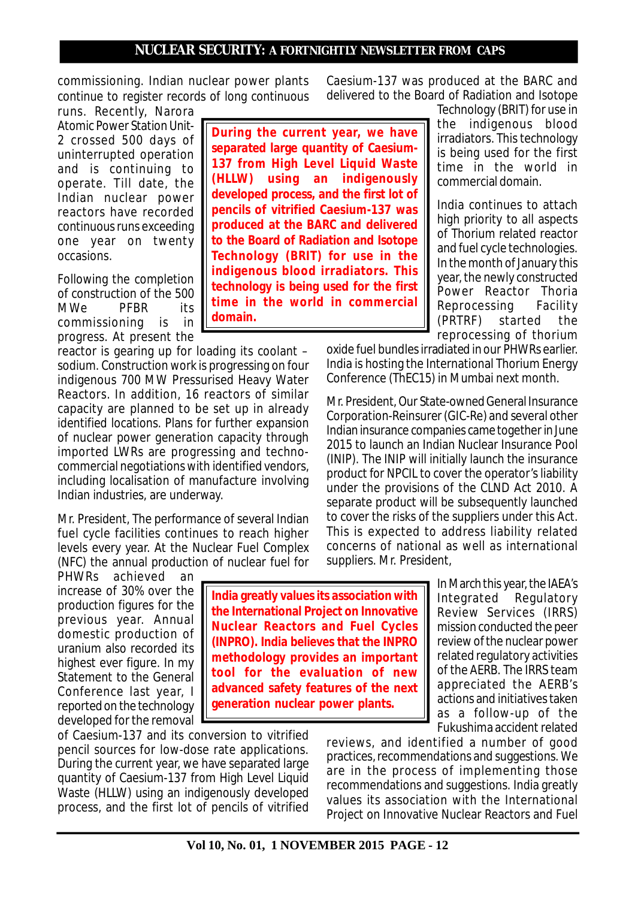**to the Board of Radiation and Isotope Technology (BRIT) for use in the indigenous blood irradiators. This technology is being used for the first time in the world in commercial**

commissioning. Indian nuclear power plants continue to register records of long continuous

runs. Recently, Narora Atomic Power Station Unit-2 crossed 500 days of uninterrupted operation and is continuing to operate. Till date, the Indian nuclear power reactors have recorded continuous runs exceeding one year on twenty occasions.

Following the completion of construction of the 500 MWe PFBR its commissioning is in progress. At present the

reactor is gearing up for loading its coolant – sodium. Construction work is progressing on four indigenous 700 MW Pressurised Heavy Water Reactors. In addition, 16 reactors of similar capacity are planned to be set up in already identified locations. Plans for further expansion of nuclear power generation capacity through imported LWRs are progressing and technocommercial negotiations with identified vendors, including localisation of manufacture involving Indian industries, are underway.

**domain.**

Mr. President, The performance of several Indian fuel cycle facilities continues to reach higher levels every year. At the Nuclear Fuel Complex (NFC) the annual production of nuclear fuel for

PHWRs achieved an increase of 30% over the production figures for the previous year. Annual domestic production of uranium also recorded its highest ever figure. In my Statement to the General Conference last year, I reported on the technology developed for the removal

**India greatly values its association with the International Project on Innovative Nuclear Reactors and Fuel Cycles (INPRO). India believes that the INPRO methodology provides an important tool for the evaluation of new advanced safety features of the next generation nuclear power plants.**

of Caesium-137 and its conversion to vitrified pencil sources for low-dose rate applications. During the current year, we have separated large quantity of Caesium-137 from High Level Liquid Waste (HLLW) using an indigenously developed process, and the first lot of pencils of vitrified

Caesium-137 was produced at the BARC and delivered to the Board of Radiation and Isotope

Technology (BRIT) for use in the indigenous blood irradiators. This technology is being used for the first time in the world in commercial domain. India continues to attach **During the current year, we have separated large quantity of Caesium-137 from High Level Liquid Waste (HLLW) using an indigenously developed process, and the first lot of pencils of vitrified Caesium-137 was produced at the BARC and delivered**

high priority to all aspects of Thorium related reactor and fuel cycle technologies. In the month of January this year, the newly constructed Power Reactor Thoria Reprocessing Facility (PRTRF) started the reprocessing of thorium

oxide fuel bundles irradiated in our PHWRs earlier. India is hosting the International Thorium Energy Conference (ThEC15) in Mumbai next month.

Mr. President, Our State-owned General Insurance Corporation-Reinsurer (GIC-Re) and several other Indian insurance companies came together in June 2015 to launch an Indian Nuclear Insurance Pool (INIP). The INIP will initially launch the insurance product for NPCIL to cover the operator's liability under the provisions of the CLND Act 2010. A separate product will be subsequently launched to cover the risks of the suppliers under this Act. This is expected to address liability related concerns of national as well as international suppliers. Mr. President,

> In March this year, the IAEA's Integrated Regulatory Review Services (IRRS) mission conducted the peer review of the nuclear power related regulatory activities of the AERB. The IRRS team appreciated the AERB's actions and initiatives taken as a follow-up of the Fukushima accident related

reviews, and identified a number of good practices, recommendations and suggestions. We are in the process of implementing those recommendations and suggestions. India greatly values its association with the International Project on Innovative Nuclear Reactors and Fuel

**Vol 10, No. 01, 1 NOVEMBER 2015 PAGE - 12**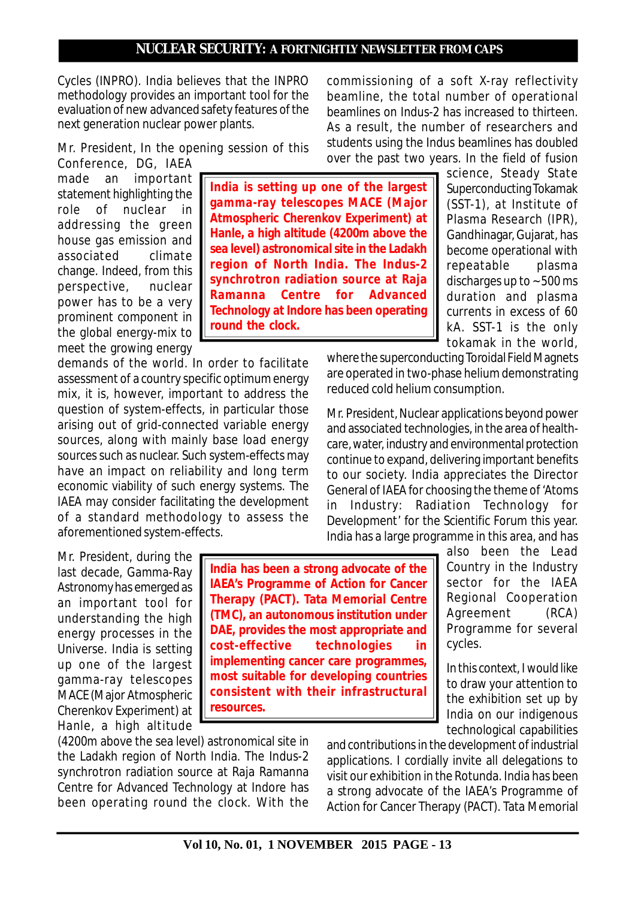Cycles (INPRO). India believes that the INPRO methodology provides an important tool for the evaluation of new advanced safety features of the next generation nuclear power plants.

Mr. President, In the opening session of this

Conference, DG, IAEA made an important statement highlighting the role of nuclear in addressing the green house gas emission and associated climate change. Indeed, from this perspective, nuclear power has to be a very prominent component in the global energy-mix to meet the growing energy

demands of the world. In order to facilitate assessment of a country specific optimum energy mix, it is, however, important to address the question of system-effects, in particular those arising out of grid-connected variable energy sources, along with mainly base load energy sources such as nuclear. Such system-effects may have an impact on reliability and long term economic viability of such energy systems. The IAEA may consider facilitating the development of a standard methodology to assess the aforementioned system-effects.

Mr. President, during the last decade, Gamma-Ray Astronomy has emerged as an important tool for understanding the high energy processes in the Universe. India is setting up one of the largest gamma-ray telescopes MACE (Major Atmospheric Cherenkov Experiment) at Hanle, a high altitude

**India is setting up one of the largest gamma-ray telescopes MACE (Major Atmospheric Cherenkov Experiment) at Hanle, a high altitude (4200m above the sea level) astronomical site in the Ladakh region of North India. The Indus-2 synchrotron radiation source at Raja Ramanna Centre for Advanced Technology at Indore has been operating round the clock.**

commissioning of a soft X-ray reflectivity beamline, the total number of operational beamlines on Indus-2 has increased to thirteen. As a result, the number of researchers and students using the Indus beamlines has doubled over the past two years. In the field of fusion

> science, Steady State Superconducting Tokamak (SST-1), at Institute of Plasma Research (IPR), Gandhinagar, Gujarat, has become operational with repeatable plasma discharges up to ~ 500 ms duration and plasma currents in excess of 60 kA. SST-1 is the only tokamak in the world,

where the superconducting Toroidal Field Magnets are operated in two-phase helium demonstrating reduced cold helium consumption.

Mr. President, Nuclear applications beyond power and associated technologies, in the area of healthcare, water, industry and environmental protection continue to expand, delivering important benefits to our society. India appreciates the Director General of IAEA for choosing the theme of 'Atoms in Industry: Radiation Technology for Development' for the Scientific Forum this year. India has a large programme in this area, and has

**India has been a strong advocate of the IAEA's Programme of Action for Cancer Therapy (PACT). Tata Memorial Centre (TMC), an autonomous institution under DAE, provides the most appropriate and cost-effective technologies in implementing cancer care programmes, most suitable for developing countries consistent with their infrastructural resources.**

also been the Lead Country in the Industry sector for the IAEA Regional Cooperation Agreement (RCA) Programme for several cycles.

In this context, I would like to draw your attention to the exhibition set up by India on our indigenous technological capabilities

(4200m above the sea level) astronomical site in the Ladakh region of North India. The Indus-2 synchrotron radiation source at Raja Ramanna Centre for Advanced Technology at Indore has been operating round the clock. With the

and contributions in the development of industrial applications. I cordially invite all delegations to visit our exhibition in the Rotunda. India has been a strong advocate of the IAEA's Programme of Action for Cancer Therapy (PACT). Tata Memorial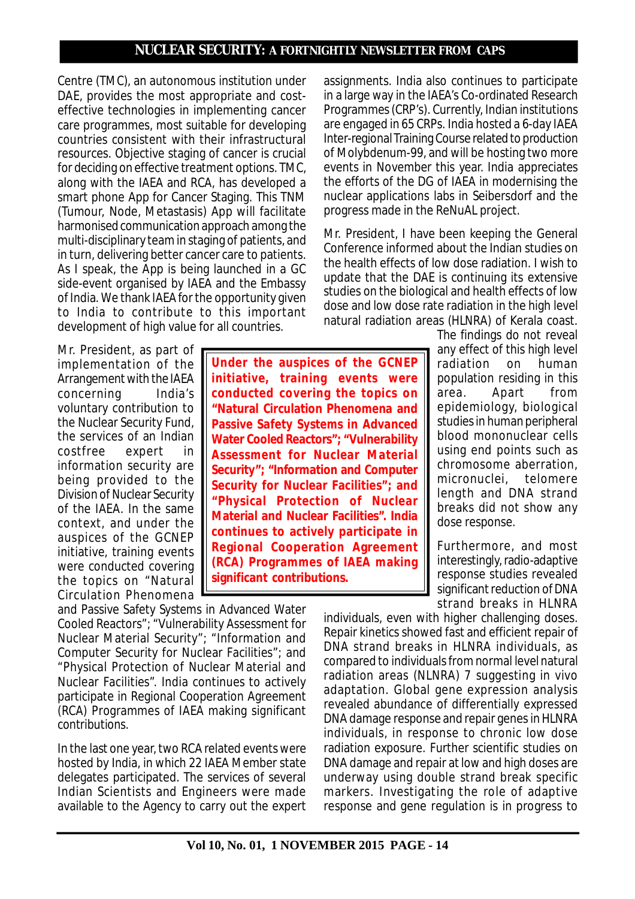Centre (TMC), an autonomous institution under DAE, provides the most appropriate and costeffective technologies in implementing cancer care programmes, most suitable for developing countries consistent with their infrastructural resources. Objective staging of cancer is crucial for deciding on effective treatment options. TMC, along with the IAEA and RCA, has developed a smart phone App for Cancer Staging. This TNM (Tumour, Node, Metastasis) App will facilitate harmonised communication approach among the multi-disciplinary team in staging of patients, and in turn, delivering better cancer care to patients. As I speak, the App is being launched in a GC side-event organised by IAEA and the Embassy of India. We thank IAEA for the opportunity given to India to contribute to this important development of high value for all countries.

Mr. President, as part of implementation of the Arrangement with the IAEA concerning India's voluntary contribution to the Nuclear Security Fund, the services of an Indian costfree expert in information security are being provided to the Division of Nuclear Security of the IAEA. In the same context, and under the auspices of the GCNEP initiative, training events were conducted covering the topics on "Natural Circulation Phenomena

and Passive Safety Systems in Advanced Water Cooled Reactors"; "Vulnerability Assessment for Nuclear Material Security"; "Information and Computer Security for Nuclear Facilities"; and "Physical Protection of Nuclear Material and Nuclear Facilities". India continues to actively participate in Regional Cooperation Agreement (RCA) Programmes of IAEA making significant contributions.

In the last one year, two RCA related events were hosted by India, in which 22 IAEA Member state delegates participated. The services of several Indian Scientists and Engineers were made available to the Agency to carry out the expert assignments. India also continues to participate in a large way in the IAEA's Co-ordinated Research Programmes (CRP's). Currently, Indian institutions are engaged in 65 CRPs. India hosted a 6-day IAEA Inter-regional Training Course related to production of Molybdenum-99, and will be hosting two more events in November this year. India appreciates the efforts of the DG of IAEA in modernising the nuclear applications labs in Seibersdorf and the progress made in the ReNuAL project.

Mr. President, I have been keeping the General Conference informed about the Indian studies on the health effects of low dose radiation. I wish to update that the DAE is continuing its extensive studies on the biological and health effects of low dose and low dose rate radiation in the high level natural radiation areas (HLNRA) of Kerala coast.

> The findings do not reveal any effect of this high level radiation on human population residing in this area. Apart from epidemiology, biological studies in human peripheral blood mononuclear cells using end points such as chromosome aberration, micronuclei, telomere length and DNA strand breaks did not show any dose response.

> Furthermore, and most interestingly, radio-adaptive response studies revealed significant reduction of DNA strand breaks in HLNRA

individuals, even with higher challenging doses. Repair kinetics showed fast and efficient repair of DNA strand breaks in HLNRA individuals, as compared to individuals from normal level natural radiation areas (NLNRA) 7 suggesting in vivo adaptation. Global gene expression analysis revealed abundance of differentially expressed DNA damage response and repair genes in HLNRA individuals, in response to chronic low dose radiation exposure. Further scientific studies on DNA damage and repair at low and high doses are underway using double strand break specific markers. Investigating the role of adaptive response and gene regulation is in progress to

**Under the auspices of the GCNEP initiative, training events were conducted covering the topics on "Natural Circulation Phenomena and Passive Safety Systems in Advanced Water Cooled Reactors"; "Vulnerability Assessment for Nuclear Material Security"; "Information and Computer Security for Nuclear Facilities"; and "Physical Protection of Nuclear Material and Nuclear Facilities". India continues to actively participate in Regional Cooperation Agreement (RCA) Programmes of IAEA making significant contributions.**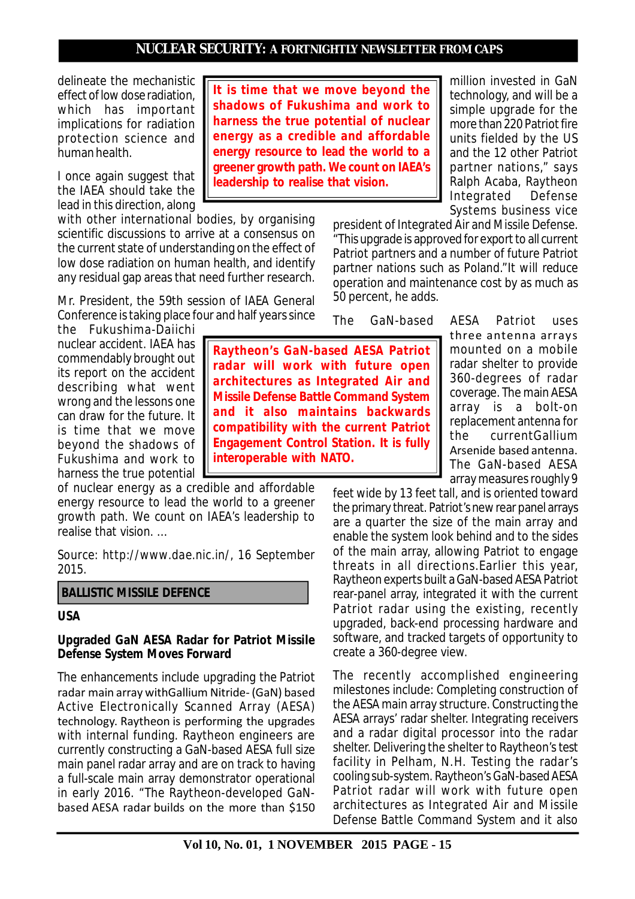delineate the mechanistic effect of low dose radiation, which has important implications for radiation protection science and human health.

I once again suggest that the IAEA should take the lead in this direction, along

with other international bodies, by organising scientific discussions to arrive at a consensus on the current state of understanding on the effect of low dose radiation on human health, and identify any residual gap areas that need further research.

Mr. President, the 59th session of IAEA General Conference is taking place four and half years since

the Fukushima-Daiichi nuclear accident. IAEA has commendably brought out its report on the accident describing what went wrong and the lessons one can draw for the future. It is time that we move beyond the shadows of Fukushima and work to harness the true potential

of nuclear energy as a credible and affordable energy resource to lead the world to a greener growth path. We count on IAEA's leadership to realise that vision. …

*Source: http://www.dae.nic.in/, 16 September 2015.*

#### **BALLISTIC MISSILE DEFENCE**

#### **USA**

#### **Upgraded GaN AESA Radar for Patriot Missile Defense System Moves Forward**

The enhancements include upgrading the Patriot radar main array withGallium Nitride- (GaN) based Active Electronically Scanned Array (AESA) technology. Raytheon is performing the upgrades with internal funding. Raytheon engineers are currently constructing a GaN-based AESA full size main panel radar array and are on track to having a full-scale main array demonstrator operational in early 2016. "The Raytheon-developed GaNbased AESA radar builds on the more than \$150

**It is time that we move beyond the shadows of Fukushima and work to harness the true potential of nuclear energy as a credible and affordable energy resource to lead the world to a greener growth path. We count on IAEA's leadership to realise that vision.**

million invested in GaN technology, and will be a simple upgrade for the more than 220 Patriot fire units fielded by the US and the 12 other Patriot partner nations," says Ralph Acaba, Raytheon Integrated Defense Systems business vice

president of Integrated Air and Missile Defense. "This upgrade is approved for export to all current Patriot partners and a number of future Patriot partner nations such as Poland."It will reduce operation and maintenance cost by as much as 50 percent, he adds.

**Raytheon's GaN-based AESA Patriot radar will work with future open architectures as Integrated Air and Missile Defense Battle Command System and it also maintains backwards compatibility with the current Patriot Engagement Control Station. It is fully interoperable with NATO.**

The GaN-based AESA Patriot uses three antenna arrays mounted on a mobile radar shelter to provide 360-degrees of radar coverage. The main AESA array is a bolt-on replacement antenna for the currentGallium Arsenide based antenna. The GaN-based AESA array measures roughly 9

feet wide by 13 feet tall, and is oriented toward the primary threat. Patriot's new rear panel arrays are a quarter the size of the main array and enable the system look behind and to the sides of the main array, allowing Patriot to engage threats in all directions.Earlier this year, Raytheon experts built a GaN-based AESA Patriot rear-panel array, integrated it with the current Patriot radar using the existing, recently upgraded, back-end processing hardware and software, and tracked targets of opportunity to create a 360-degree view.

The recently accomplished engineering milestones include: Completing construction of the AESA main array structure. Constructing the AESA arrays' radar shelter. Integrating receivers and a radar digital processor into the radar shelter. Delivering the shelter to Raytheon's test facility in Pelham, N.H. Testing the radar's cooling sub-system. Raytheon's GaN-based AESA Patriot radar will work with future open architectures as Integrated Air and Missile Defense Battle Command System and it also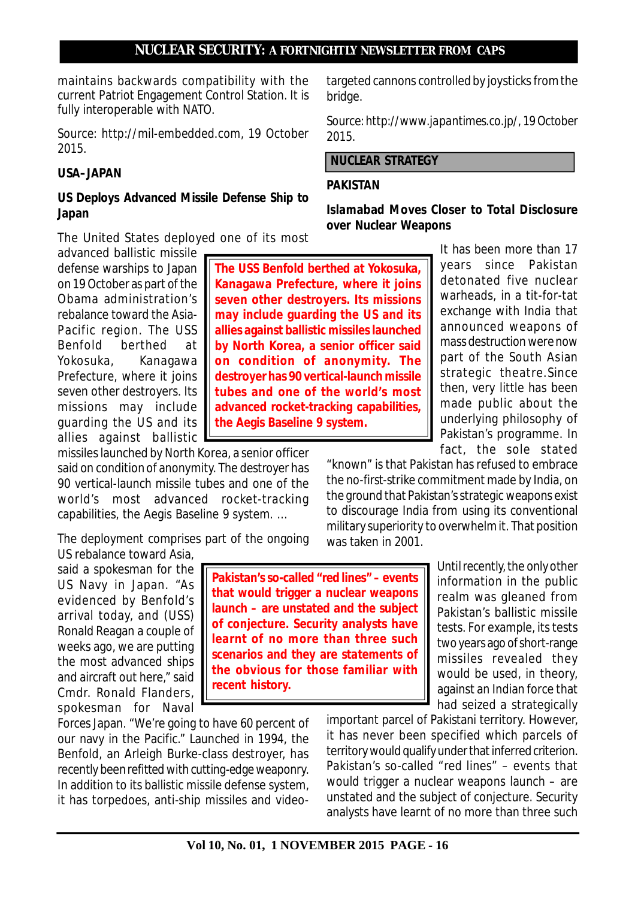**NUCLEAR SECURITY: A FORTNIGHTLY NEWSLETTER FROM CAPS** targeted cannons controlled by joysticks from the

maintains backwards compatibility with the current Patriot Engagement Control Station. It is fully interoperable with NATO.

*Source: http://mil-embedded.com, 19 October 2015.*

# **USA–JAPAN**

# **US Deploys Advanced Missile Defense Ship to Japan**

The United States deployed one of its most

advanced ballistic missile defense warships to Japan on 19 October as part of the Obama administration's rebalance toward the Asia-Pacific region. The USS Benfold berthed at Yokosuka, Kanagawa Prefecture, where it joins seven other destroyers. Its missions may include guarding the US and its allies against ballistic

missiles launched by North Korea, a senior officer said on condition of anonymity. The destroyer has 90 vertical-launch missile tubes and one of the world's most advanced rocket-tracking capabilities, the Aegis Baseline 9 system. …

The deployment comprises part of the ongoing US rebalance toward Asia,

said a spokesman for the US Navy in Japan. "As evidenced by Benfold's arrival today, and (USS) Ronald Reagan a couple of weeks ago, we are putting the most advanced ships and aircraft out here," said Cmdr. Ronald Flanders, spokesman for Naval

Forces Japan. "We're going to have 60 percent of our navy in the Pacific." Launched in 1994, the Benfold, an Arleigh Burke-class destroyer, has recently been refitted with cutting-edge weaponry. In addition to its ballistic missile defense system, it has torpedoes, anti-ship missiles and video-

**Pakistan's so-called "red lines" – events that would trigger a nuclear weapons launch – are unstated and the subject of conjecture. Security analysts have learnt of no more than three such scenarios and they are statements of the obvious for those familiar with recent history.**

It has been more than 17 years since Pakistan detonated five nuclear warheads, in a tit-for-tat exchange with India that announced weapons of mass destruction were now part of the South Asian strategic theatre.Since then, very little has been made public about the underlying philosophy of Pakistan's programme. In fact, the sole stated

"known" is that Pakistan has refused to embrace the no-first-strike commitment made by India, on the ground that Pakistan's strategic weapons exist to discourage India from using its conventional military superiority to overwhelm it. That position was taken in 2001.

> Until recently, the only other information in the public realm was gleaned from Pakistan's ballistic missile tests. For example, its tests two years ago of short-range missiles revealed they would be used, in theory, against an Indian force that had seized a strategically

important parcel of Pakistani territory. However, it has never been specified which parcels of territory would qualify under that inferred criterion. Pakistan's so-called "red lines" – events that would trigger a nuclear weapons launch – are unstated and the subject of conjecture. Security analysts have learnt of no more than three such

**Islamabad Moves Closer to Total Disclosure over Nuclear Weapons**

bridge. *Source: http://www.japantimes.co.jp/, 19 October*

*2015.*

# **NUCLEAR STRATEGY**

# **PAKISTAN**

# **allies against ballistic missiles launched by North Korea, a senior officer said on condition of anonymity. The destroyer has 90 vertical-launch missile tubes and one of the world's most advanced rocket-tracking capabilities, the Aegis Baseline 9 system.**

**The USS Benfold berthed at Yokosuka, Kanagawa Prefecture, where it joins seven other destroyers. Its missions may include guarding the US and its**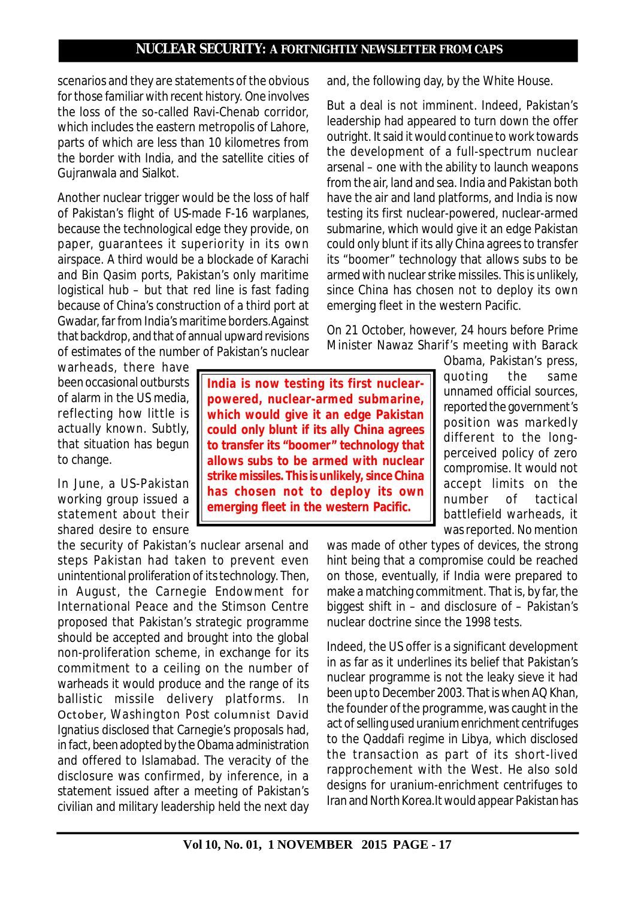scenarios and they are statements of the obvious for those familiar with recent history. One involves the loss of the so-called Ravi-Chenab corridor, which includes the eastern metropolis of Lahore, parts of which are less than 10 kilometres from the border with India, and the satellite cities of Gujranwala and Sialkot.

Another nuclear trigger would be the loss of half of Pakistan's flight of US-made F-16 warplanes, because the technological edge they provide, on paper, guarantees it superiority in its own airspace. A third would be a blockade of Karachi and Bin Qasim ports, Pakistan's only maritime logistical hub – but that red line is fast fading because of China's construction of a third port at Gwadar, far from India's maritime borders.Against that backdrop, and that of annual upward revisions of estimates of the number of Pakistan's nuclear

warheads, there have been occasional outbursts of alarm in the US media, reflecting how little is actually known. Subtly, that situation has begun to change.

In June, a US-Pakistan working group issued a statement about their shared desire to ensure

the security of Pakistan's nuclear arsenal and steps Pakistan had taken to prevent even unintentional proliferation of its technology. Then, in August, the Carnegie Endowment for International Peace and the Stimson Centre proposed that Pakistan's strategic programme should be accepted and brought into the global non-proliferation scheme, in exchange for its commitment to a ceiling on the number of warheads it would produce and the range of its ballistic missile delivery platforms. In October, *Washington Post* columnist David Ignatius disclosed that Carnegie's proposals had, in fact, been adopted by the Obama administration and offered to Islamabad. The veracity of the disclosure was confirmed, by inference, in a statement issued after a meeting of Pakistan's civilian and military leadership held the next day

**India is now testing its first nuclearpowered, nuclear-armed submarine, which would give it an edge Pakistan could only blunt if its ally China agrees to transfer its "boomer" technology that allows subs to be armed with nuclear strike missiles. This is unlikely, since China has chosen not to deploy its own emerging fleet in the western Pacific.**

and, the following day, by the White House.

But a deal is not imminent. Indeed, Pakistan's leadership had appeared to turn down the offer outright. It said it would continue to work towards the development of a full-spectrum nuclear arsenal – one with the ability to launch weapons from the air, land and sea. India and Pakistan both have the air and land platforms, and India is now testing its first nuclear-powered, nuclear-armed submarine, which would give it an edge Pakistan could only blunt if its ally China agrees to transfer its "boomer" technology that allows subs to be armed with nuclear strike missiles. This is unlikely, since China has chosen not to deploy its own emerging fleet in the western Pacific.

On 21 October, however, 24 hours before Prime Minister Nawaz Sharif's meeting with Barack

> Obama, Pakistan's press, quoting the same unnamed official sources, reported the government's position was markedly different to the longperceived policy of zero compromise. It would not accept limits on the number of tactical battlefield warheads, it was reported. No mention

was made of other types of devices, the strong hint being that a compromise could be reached on those, eventually, if India were prepared to make a matching commitment. That is, by far, the biggest shift in – and disclosure of – Pakistan's nuclear doctrine since the 1998 tests.

Indeed, the US offer is a significant development in as far as it underlines its belief that Pakistan's nuclear programme is not the leaky sieve it had been up to December 2003. That is when AQ Khan, the founder of the programme, was caught in the act of selling used uranium enrichment centrifuges to the Qaddafi regime in Libya, which disclosed the transaction as part of its short-lived rapprochement with the West. He also sold designs for uranium-enrichment centrifuges to Iran and North Korea.It would appear Pakistan has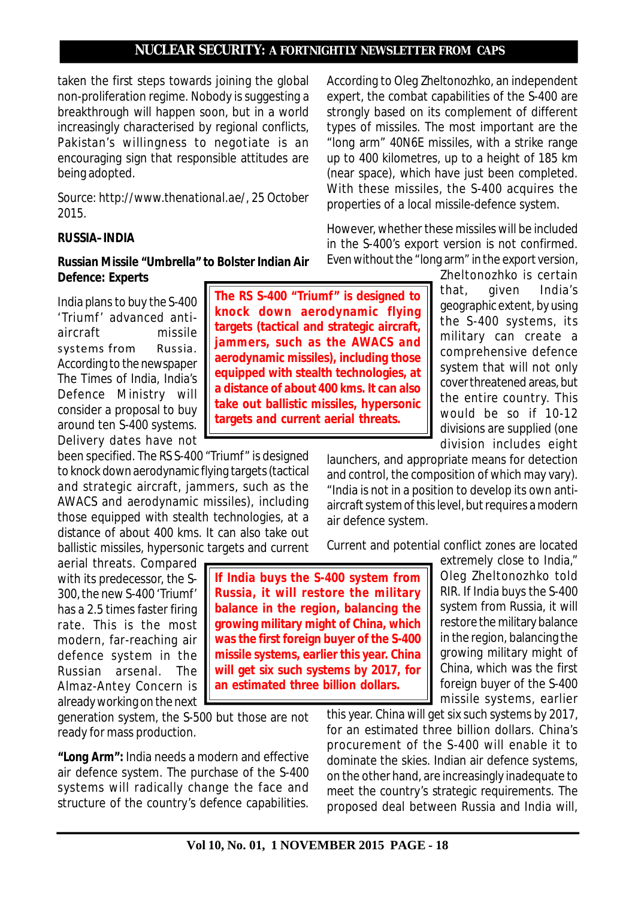**The RS S-400 "Triumf" is designed to knock down aerodynamic flying targets (tactical and strategic aircraft, jammers, such as the AWACS and aerodynamic missiles), including those equipped with stealth technologies, at a distance of about 400 kms. It can also take out ballistic missiles, hypersonic targets and current aerial threats.**

taken the first steps towards joining the global non-proliferation regime. Nobody is suggesting a breakthrough will happen soon, but in a world increasingly characterised by regional conflicts, Pakistan's willingness to negotiate is an encouraging sign that responsible attitudes are being adopted.

*Source: http://www.thenational.ae/, 25 October 2015.*

#### **RUSSIA–INDIA**

#### **Russian Missile "Umbrella" to Bolster Indian Air Defence: Experts**

India plans to buy the S-400 'Triumf' advanced antiaircraft missile systems from Russia. According to the newspaper The Times of India, India's Defence Ministry will consider a proposal to buy around ten S-400 systems. Delivery dates have not

been specified. The RS S-400 "Triumf" is designed to knock down aerodynamic flying targets (tactical and strategic aircraft, jammers, such as the AWACS and aerodynamic missiles), including those equipped with stealth technologies, at a distance of about 400 kms. It can also take out ballistic missiles, hypersonic targets and current

aerial threats. Compared with its predecessor, the S-300, the new S-400 'Triumf' has a 2.5 times faster firing rate. This is the most modern, far-reaching air defence system in the Russian arsenal. The Almaz-Antey Concern is already working on the next

generation system, the S-500 but those are not ready for mass production.

*"Long Arm":* India needs a modern and effective air defence system. The purchase of the S-400 systems will radically change the face and structure of the country's defence capabilities.

According to Oleg Zheltonozhko, an independent expert, the combat capabilities of the S-400 are strongly based on its complement of different types of missiles. The most important are the "long arm" 40N6E missiles, with a strike range up to 400 kilometres, up to a height of 185 km (near space), which have just been completed. With these missiles, the S-400 acquires the properties of a local missile-defence system.

However, whether these missiles will be included in the S-400's export version is not confirmed. Even without the "long arm" in the export version,

> Zheltonozhko is certain that, given India's geographic extent, by using the S-400 systems, its military can create a comprehensive defence system that will not only cover threatened areas, but the entire country. This would be so if 10-12 divisions are supplied (one division includes eight

launchers, and appropriate means for detection and control, the composition of which may vary). "India is not in a position to develop its own antiaircraft system of this level, but requires a modern air defence system.

Current and potential conflict zones are located

**If India buys the S-400 system from Russia, it will restore the military balance in the region, balancing the growing military might of China, which was the first foreign buyer of the S-400 missile systems, earlier this year. China will get six such systems by 2017, for an estimated three billion dollars.**

extremely close to India," Oleg Zheltonozhko told RIR. If India buys the S-400 system from Russia, it will restore the military balance in the region, balancing the growing military might of China, which was the first foreign buyer of the S-400 missile systems, earlier

this year. China will get six such systems by 2017, for an estimated three billion dollars. China's procurement of the S-400 will enable it to dominate the skies. Indian air defence systems, on the other hand, are increasingly inadequate to meet the country's strategic requirements. The proposed deal between Russia and India will,

**Vol 10, No. 01, 1 NOVEMBER 2015 PAGE - 18**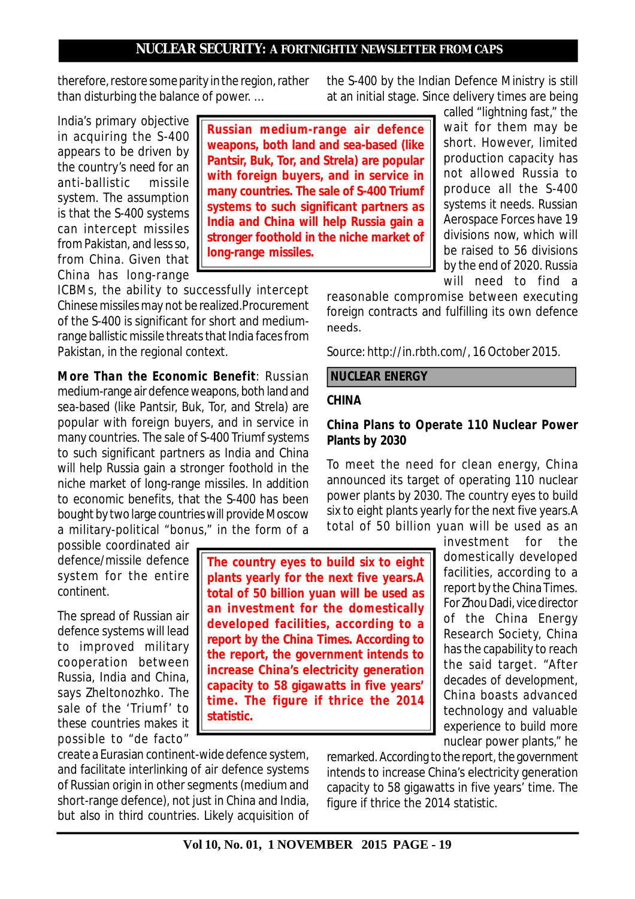therefore, restore some parity in the region, rather than disturbing the balance of power. …

India's primary objective in acquiring the S-400 appears to be driven by the country's need for an anti-ballistic missile system. The assumption is that the S-400 systems can intercept missiles from Pakistan, and less so, from China. Given that China has long-range

**Russian medium-range air defence weapons, both land and sea-based (like Pantsir, Buk, Tor, and Strela) are popular with foreign buyers, and in service in many countries. The sale of S-400 Triumf systems to such significant partners as India and China will help Russia gain a stronger foothold in the niche market of long-range missiles.**

ICBMs, the ability to successfully intercept Chinese missiles may not be realized.Procurement of the S-400 is significant for short and mediumrange ballistic missile threats that India faces from Pakistan, in the regional context.

*More Than the Economic Benefit:* Russian medium-range air defence weapons, both land and sea-based (like Pantsir, Buk, Tor, and Strela) are popular with foreign buyers, and in service in many countries. The sale of S-400 Triumf systems to such significant partners as India and China will help Russia gain a stronger foothold in the niche market of long-range missiles. In addition to economic benefits, that the S-400 has been bought by two large countries will provide Moscow a military-political "bonus," in the form of a

possible coordinated air defence/missile defence system for the entire continent.

The spread of Russian air defence systems will lead to improved military cooperation between Russia, India and China, says Zheltonozhko. The sale of the 'Triumf' to these countries makes it possible to "de facto"

create a Eurasian continent-wide defence system, and facilitate interlinking of air defence systems of Russian origin in other segments (medium and short-range defence), not just in China and India, but also in third countries. Likely acquisition of the S-400 by the Indian Defence Ministry is still at an initial stage. Since delivery times are being

> called "lightning fast," the wait for them may be short. However, limited production capacity has not allowed Russia to produce all the S-400 systems it needs. Russian Aerospace Forces have 19 divisions now, which will be raised to 56 divisions by the end of 2020. Russia will need to find a

reasonable compromise between executing foreign contracts and fulfilling its own defence needs.

*Source: http://in.rbth.com/, 16 October 2015.*

#### **NUCLEAR ENERGY**

#### **CHINA**

#### **China Plans to Operate 110 Nuclear Power Plants by 2030**

To meet the need for clean energy, China announced its target of operating 110 nuclear power plants by 2030. The country eyes to build six to eight plants yearly for the next five years.A total of 50 billion yuan will be used as an

> investment for the domestically developed facilities, according to a report by the China Times. For Zhou Dadi, vice director of the China Energy Research Society, China has the capability to reach the said target. "After decades of development, China boasts advanced technology and valuable experience to build more nuclear power plants," he

remarked. According to the report, the government intends to increase China's electricity generation capacity to 58 gigawatts in five years' time. The figure if thrice the 2014 statistic.

# **The country eyes to build six to eight plants yearly for the next five years.A total of 50 billion yuan will be used as an investment for the domestically developed facilities, according to a report by the China Times. According to the report, the government intends to increase China's electricity generation capacity to 58 gigawatts in five years' time. The figure if thrice the 2014 statistic.**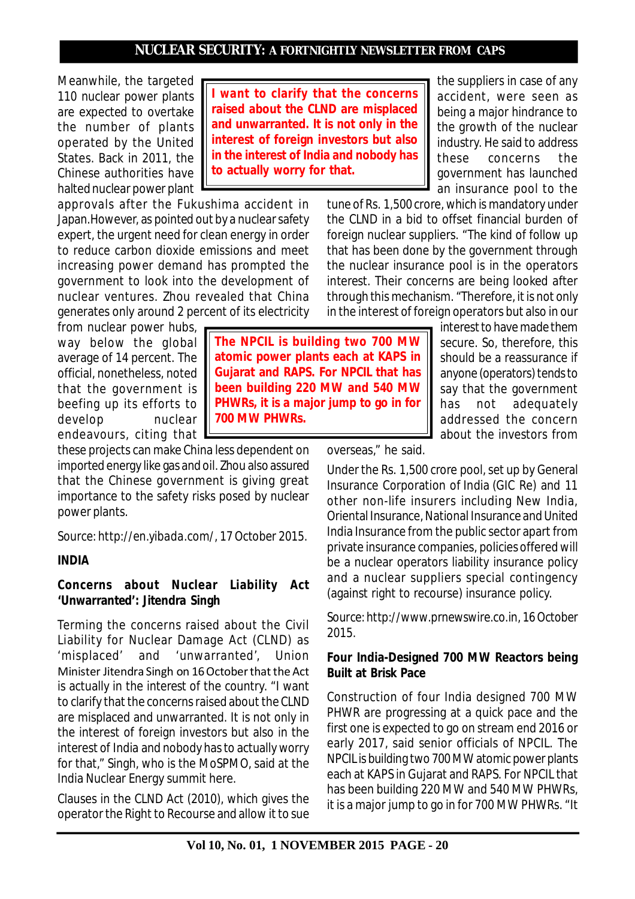Meanwhile, the targeted 110 nuclear power plants are expected to overtake the number of plants operated by the United States. Back in 2011, the Chinese authorities have halted nuclear power plant

approvals after the Fukushima accident in Japan.However, as pointed out by a nuclear safety expert, the urgent need for clean energy in order to reduce carbon dioxide emissions and meet increasing power demand has prompted the government to look into the development of nuclear ventures. Zhou revealed that China generates only around 2 percent of its electricity

from nuclear power hubs, way below the global average of 14 percent. The official, nonetheless, noted that the government is beefing up its efforts to develop nuclear endeavours, citing that

these projects can make China less dependent on imported energy like gas and oil. Zhou also assured that the Chinese government is giving great importance to the safety risks posed by nuclear power plants.

*Source: http://en.yibada.com/, 17 October 2015.*

# **INDIA**

# **Concerns about Nuclear Liability Act 'Unwarranted': Jitendra Singh**

Terming the concerns raised about the Civil Liability for Nuclear Damage Act (CLND) as 'misplaced' and 'unwarranted', Union Minister Jitendra Singh on 16 October that the Act is actually in the interest of the country. "I want to clarify that the concerns raised about the CLND are misplaced and unwarranted. It is not only in the interest of foreign investors but also in the interest of India and nobody has to actually worry for that," Singh, who is the MoSPMO, said at the India Nuclear Energy summit here.

Clauses in the CLND Act (2010), which gives the operator the Right to Recourse and allow it to sue

**I want to clarify that the concerns raised about the CLND are misplaced and unwarranted. It is not only in the interest of foreign investors but also in the interest of India and nobody has to actually worry for that.**

**atomic power plants each at KAPS in Gujarat and RAPS. For NPCIL that has**

**700 MW PHWRs.**

the suppliers in case of any accident, were seen as being a major hindrance to the growth of the nuclear industry. He said to address these concerns the government has launched an insurance pool to the

tune of Rs. 1,500 crore, which is mandatory under the CLND in a bid to offset financial burden of foreign nuclear suppliers. "The kind of follow up that has been done by the government through the nuclear insurance pool is in the operators interest. Their concerns are being looked after through this mechanism. "Therefore, it is not only in the interest of foreign operators but also in our

> interest to have made them secure. So, therefore, this should be a reassurance if anyone (operators) tends to say that the government has not adequately addressed the concern about the investors from

overseas," he said.

Under the Rs. 1,500 crore pool, set up by General Insurance Corporation of India (GIC Re) and 11 other non-life insurers including New India, Oriental Insurance, National Insurance and United India Insurance from the public sector apart from private insurance companies, policies offered will be a nuclear operators liability insurance policy and a nuclear suppliers special contingency (against right to recourse) insurance policy.

*Source: http://www.prnewswire.co.in, 16 October 2015.*

# **Four India-Designed 700 MW Reactors being Built at Brisk Pace**

Construction of four India designed 700 MW PHWR are progressing at a quick pace and the first one is expected to go on stream end 2016 or early 2017, said senior officials of NPCIL. The NPCIL is building two 700 MW atomic power plants each at KAPS in Gujarat and RAPS. For NPCIL that has been building 220 MW and 540 MW PHWRs, it is a major jump to go in for 700 MW PHWRs. "It

# **The NPCIL is building two 700 MW been building 220 MW and 540 MW PHWRs, it is a major jump to go in for**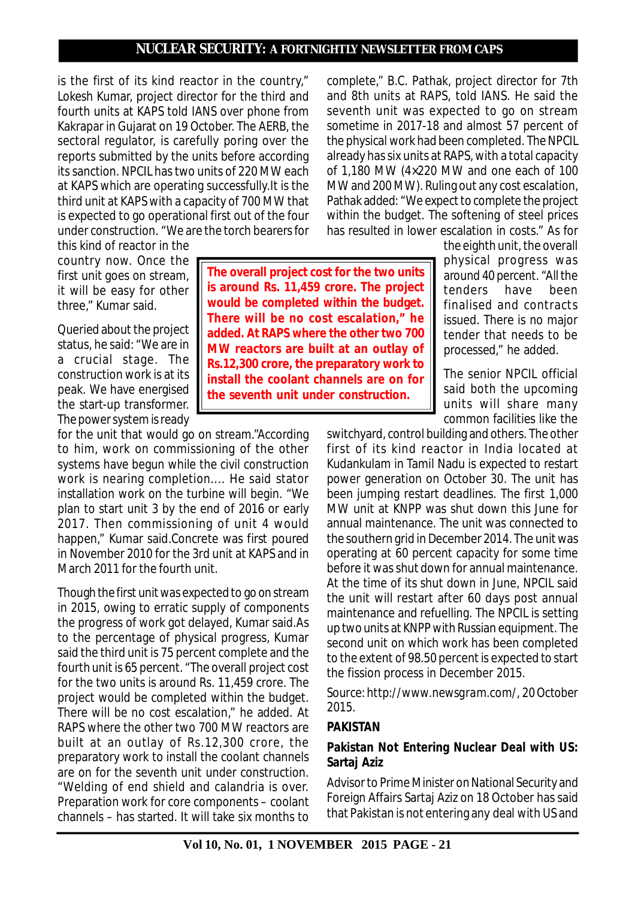**The overall project cost for the two units**

**install the coolant channels are on for the seventh unit under construction.**

is the first of its kind reactor in the country," Lokesh Kumar, project director for the third and fourth units at KAPS told IANS over phone from Kakrapar in Gujarat on 19 October. The AERB, the sectoral regulator, is carefully poring over the reports submitted by the units before according its sanction. NPCIL has two units of 220 MW each at KAPS which are operating successfully.It is the third unit at KAPS with a capacity of 700 MW that is expected to go operational first out of the four under construction. "We are the torch bearers for

this kind of reactor in the country now. Once the first unit goes on stream, it will be easy for other three," Kumar said.

Queried about the project status, he said: "We are in a crucial stage. The construction work is at its peak. We have energised the start-up transformer. The power system is ready

for the unit that would go on stream."According to him, work on commissioning of the other systems have begun while the civil construction work is nearing completion.... He said stator installation work on the turbine will begin. "We plan to start unit 3 by the end of 2016 or early 2017. Then commissioning of unit 4 would happen," Kumar said.Concrete was first poured in November 2010 for the 3rd unit at KAPS and in March 2011 for the fourth unit.

Though the first unit was expected to go on stream in 2015, owing to erratic supply of components the progress of work got delayed, Kumar said.As to the percentage of physical progress, Kumar said the third unit is 75 percent complete and the fourth unit is 65 percent. "The overall project cost for the two units is around Rs. 11,459 crore. The project would be completed within the budget. There will be no cost escalation," he added. At RAPS where the other two 700 MW reactors are built at an outlay of Rs.12,300 crore, the preparatory work to install the coolant channels are on for the seventh unit under construction. "Welding of end shield and calandria is over. Preparation work for core components – coolant channels – has started. It will take six months to

complete," B.C. Pathak, project director for 7th and 8th units at RAPS, told IANS. He said the seventh unit was expected to go on stream sometime in 2017-18 and almost 57 percent of the physical work had been completed. The NPCIL already has six units at RAPS, with a total capacity of 1,180 MW (4×220 MW and one each of 100 MW and 200 MW). Ruling out any cost escalation, Pathak added: "We expect to complete the project within the budget. The softening of steel prices has resulted in lower escalation in costs." As for

the eighth unit, the overall physical progress was around 40 percent. "All the tenders have been finalised and contracts issued. There is no major tender that needs to be processed," he added. **is around Rs. 11,459 crore. The project would be completed within the budget. There will be no cost escalation," he added. At RAPS where the other two 700 MW reactors are built at an outlay of Rs.12,300 crore, the preparatory work to**

The senior NPCIL official said both the upcoming units will share many common facilities like the

switchyard, control building and others. The other first of its kind reactor in India located at Kudankulam in Tamil Nadu is expected to restart power generation on October 30. The unit has been jumping restart deadlines. The first 1,000 MW unit at KNPP was shut down this June for annual maintenance. The unit was connected to the southern grid in December 2014. The unit was operating at 60 percent capacity for some time before it was shut down for annual maintenance. At the time of its shut down in June, NPCIL said the unit will restart after 60 days post annual maintenance and refuelling. The NPCIL is setting up two units at KNPP with Russian equipment. The second unit on which work has been completed to the extent of 98.50 percent is expected to start the fission process in December 2015.

*Source: http://www.newsgram.com/, 20 October 2015.*

# **PAKISTAN**

# **Pakistan Not Entering Nuclear Deal with US: Sartaj Aziz**

Advisor to Prime Minister on National Security and Foreign Affairs Sartaj Aziz on 18 October has said that Pakistan is not entering any deal with US and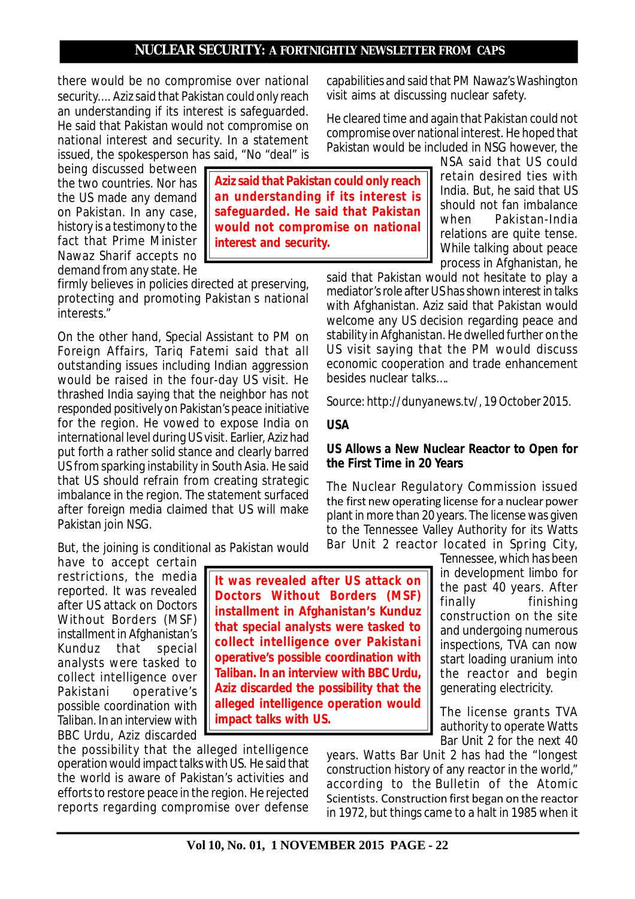**Aziz said that Pakistan could only reach an understanding if its interest is safeguarded. He said that Pakistan would not compromise on national**

**interest and security.**

there would be no compromise over national security.... Aziz said that Pakistan could only reach an understanding if its interest is safeguarded. He said that Pakistan would not compromise on national interest and security. In a statement issued, the spokesperson has said, "No "deal" is

being discussed between the two countries. Nor has the US made any demand on Pakistan. In any case, history is a testimony to the fact that Prime Minister Nawaz Sharif accepts no demand from any state. He

firmly believes in policies directed at preserving, protecting and promoting Pakistan s national interests."

On the other hand, Special Assistant to PM on Foreign Affairs, Tariq Fatemi said that all outstanding issues including Indian aggression would be raised in the four-day US visit. He thrashed India saying that the neighbor has not responded positively on Pakistan's peace initiative for the region. He vowed to expose India on international level during US visit. Earlier, Aziz had put forth a rather solid stance and clearly barred US from sparking instability in South Asia. He said that US should refrain from creating strategic imbalance in the region. The statement surfaced after foreign media claimed that US will make Pakistan join NSG.

But, the joining is conditional as Pakistan would

restrictions, the media reported. It was revealed after US attack on Doctors Without Borders (MSF) installment in Afghanistan's Kunduz that special analysts were tasked to collect intelligence over Pakistani operative's possible coordination with Taliban. In an interview with BBC Urdu, Aziz discarded

the possibility that the alleged intelligence operation would impact talks with US. He said that the world is aware of Pakistan's activities and efforts to restore peace in the region. He rejected reports regarding compromise over defense

capabilities and said that PM Nawaz's Washington visit aims at discussing nuclear safety.

He cleared time and again that Pakistan could not compromise over national interest. He hoped that Pakistan would be included in NSG however, the

> NSA said that US could retain desired ties with India. But, he said that US should not fan imbalance when Pakistan-India relations are quite tense. While talking about peace process in Afghanistan, he

said that Pakistan would not hesitate to play a mediator's role after US has shown interest in talks with Afghanistan. Aziz said that Pakistan would welcome any US decision regarding peace and stability in Afghanistan. He dwelled further on the US visit saying that the PM would discuss economic cooperation and trade enhancement besides nuclear talks….

*Source: http://dunyanews.tv/, 19 October 2015.*

# **USA**

#### **US Allows a New Nuclear Reactor to Open for the First Time in 20 Years**

The Nuclear Regulatory Commission issued the first new operating license for a nuclear power plant in more than 20 years. The license was given to the Tennessee Valley Authority for its Watts Bar Unit 2 reactor located in Spring City,

Tennessee, which has been in development limbo for the past 40 years. After<br>finally finishing finishing construction on the site and undergoing numerous inspections, TVA can now start loading uranium into the reactor and begin generating electricity.

The license grants TVA authority to operate Watts Bar Unit 2 for the next 40

years. Watts Bar Unit 2 has had the "longest construction history of any reactor in the world," according to the Bulletin of the Atomic Scientists. Construction first began on the reactor in 1972, but things came to a halt in 1985 when it

have to accept certain **It was revealed after US attack on Doctors Without Borders (MSF) installment in Afghanistan's Kunduz that special analysts were tasked to collect intelligence over Pakistani operative's possible coordination with Taliban. In an interview with BBC Urdu, Aziz discarded the possibility that the alleged intelligence operation would impact talks with US.**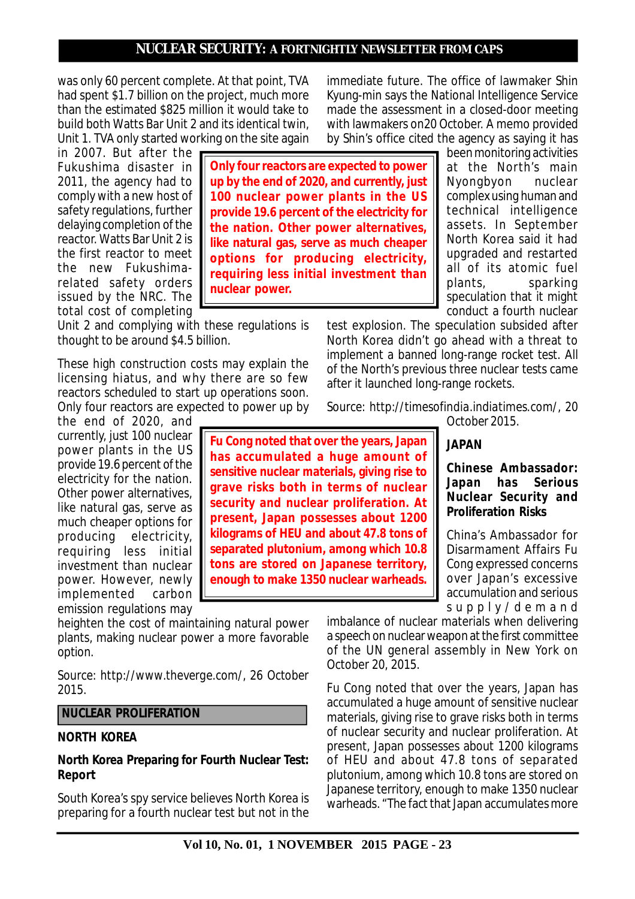was only 60 percent complete. At that point, TVA had spent \$1.7 billion on the project, much more than the estimated \$825 million it would take to build both Watts Bar Unit 2 and its identical twin, Unit 1. TVA only started working on the site again

in 2007. But after the Fukushima disaster in 2011, the agency had to comply with a new host of safety regulations, further delaying completion of the reactor. Watts Bar Unit 2 is the first reactor to meet the new Fukushimarelated safety orders issued by the NRC. The total cost of completing

Unit 2 and complying with these regulations is thought to be around \$4.5 billion.

These high construction costs may explain the licensing hiatus, and why there are so few reactors scheduled to start up operations soon. Only four reactors are expected to power up by

the end of 2020, and currently, just 100 nuclear power plants in the US provide 19.6 percent of the electricity for the nation. Other power alternatives, like natural gas, serve as much cheaper options for producing electricity, requiring less initial investment than nuclear power. However, newly implemented carbon emission regulations may

heighten the cost of maintaining natural power plants, making nuclear power a more favorable option.

*Source: http://www.theverge.com/, 26 October 2015.*

#### **NUCLEAR PROLIFERATION**

#### **NORTH KOREA**

#### **North Korea Preparing for Fourth Nuclear Test: Report**

South Korea's spy service believes North Korea is preparing for a fourth nuclear test but not in the immediate future. The office of lawmaker Shin Kyung-min says the National Intelligence Service made the assessment in a closed-door meeting with lawmakers on20 October. A memo provided by Shin's office cited the agency as saying it has

**Only four reactors are expected to power up by the end of 2020, and currently, just 100 nuclear power plants in the US provide 19.6 percent of the electricity for the nation. Other power alternatives, like natural gas, serve as much cheaper options for producing electricity, requiring less initial investment than nuclear power.**

been monitoring activities at the North's main<br>Nyongbyon nuclear Nyongbyon complex using human and technical intelligence assets. In September North Korea said it had upgraded and restarted all of its atomic fuel plants, sparking speculation that it might conduct a fourth nuclear

test explosion. The speculation subsided after North Korea didn't go ahead with a threat to implement a banned long-range rocket test. All of the North's previous three nuclear tests came after it launched long-range rockets.

*Source: http://timesofindia.indiatimes.com/, 20 October 2015.*

**Fu Cong noted that over the years, Japan has accumulated a huge amount of sensitive nuclear materials, giving rise to grave risks both in terms of nuclear security and nuclear proliferation. At present, Japan possesses about 1200 kilograms of HEU and about 47.8 tons of separated plutonium, among which 10.8 tons are stored on Japanese territory, enough to make 1350 nuclear warheads.**

#### **JAPAN**

#### **Chinese Ambassador: Japan has Serious Nuclear Security and Proliferation Risks**

China's Ambassador for Disarmament Affairs Fu Cong expressed concerns over Japan's excessive accumulation and serious s u p p l y / d e m a n d

imbalance of nuclear materials when delivering a speech on nuclear weapon at the first committee of the UN general assembly in New York on October 20, 2015.

Fu Cong noted that over the years, Japan has accumulated a huge amount of sensitive nuclear materials, giving rise to grave risks both in terms of nuclear security and nuclear proliferation. At present, Japan possesses about 1200 kilograms of HEU and about 47.8 tons of separated plutonium, among which 10.8 tons are stored on Japanese territory, enough to make 1350 nuclear warheads. "The fact that Japan accumulates more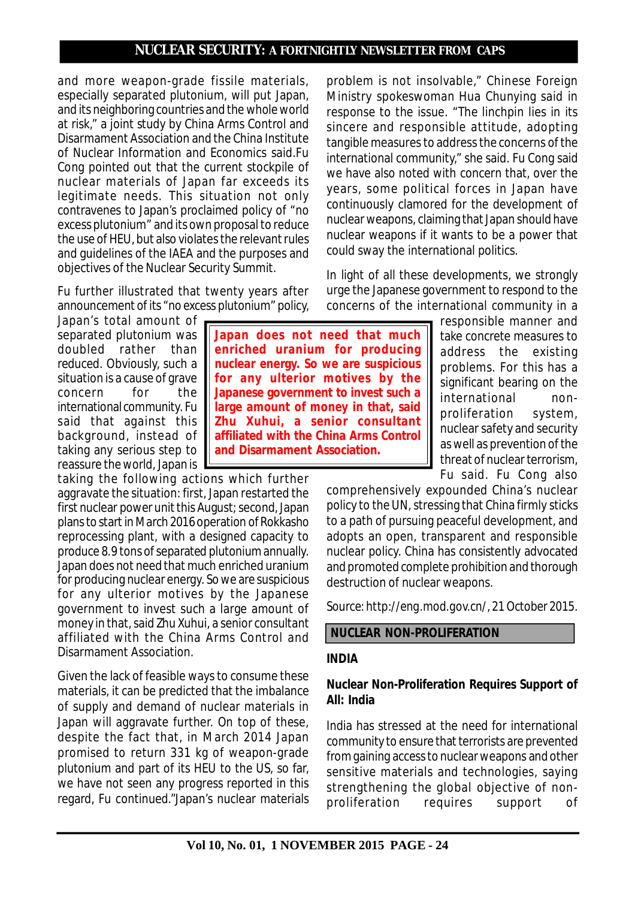and more weapon-grade fissile materials, especially separated plutonium, will put Japan, and its neighboring countries and the whole world at risk," a joint study by China Arms Control and Disarmament Association and the China Institute of Nuclear Information and Economics said.Fu Cong pointed out that the current stockpile of nuclear materials of Japan far exceeds its legitimate needs. This situation not only contravenes to Japan's proclaimed policy of "no excess plutonium" and its own proposal to reduce the use of HEU, but also violates the relevant rules and guidelines of the IAEA and the purposes and objectives of the Nuclear Security Summit.

Fu further illustrated that twenty years after announcement of its "no excess plutonium" policy,

Japan's total amount of separated plutonium was doubled rather than reduced. Obviously, such a situation is a cause of grave concern for the international community. Fu said that against this background, instead of taking any serious step to reassure the world, Japan is

taking the following actions which further aggravate the situation: first, Japan restarted the first nuclear power unit this August; second, Japan plans to start in March 2016 operation of Rokkasho reprocessing plant, with a designed capacity to produce 8.9 tons of separated plutonium annually. Japan does not need that much enriched uranium for producing nuclear energy. So we are suspicious for any ulterior motives by the Japanese government to invest such a large amount of money in that, said Zhu Xuhui, a senior consultant affiliated with the China Arms Control and Disarmament Association.

Given the lack of feasible ways to consume these materials, it can be predicted that the imbalance of supply and demand of nuclear materials in Japan will aggravate further. On top of these, despite the fact that, in March 2014 Japan promised to return 331 kg of weapon-grade plutonium and part of its HEU to the US, so far, we have not seen any progress reported in this regard, Fu continued."Japan's nuclear materials

problem is not insolvable," Chinese Foreign Ministry spokeswoman Hua Chunying said in response to the issue. "The linchpin lies in its sincere and responsible attitude, adopting tangible measures to address the concerns of the international community," she said. Fu Cong said we have also noted with concern that, over the years, some political forces in Japan have continuously clamored for the development of nuclear weapons, claiming that Japan should have nuclear weapons if it wants to be a power that could sway the international politics.

In light of all these developments, we strongly urge the Japanese government to respond to the concerns of the international community in a

> responsible manner and take concrete measures to address the existing problems. For this has a significant bearing on the international nonproliferation system, nuclear safety and security as well as prevention of the threat of nuclear terrorism, Fu said. Fu Cong also

comprehensively expounded China's nuclear policy to the UN, stressing that China firmly sticks to a path of pursuing peaceful development, and adopts an open, transparent and responsible nuclear policy. China has consistently advocated and promoted complete prohibition and thorough destruction of nuclear weapons.

*Source: http://eng.mod.gov.cn/, 21 October 2015.*

# **NUCLEAR NON-PROLIFERATION**

# **INDIA**

# **Nuclear Non-Proliferation Requires Support of All: India**

India has stressed at the need for international community to ensure that terrorists are prevented from gaining access to nuclear weapons and other sensitive materials and technologies, saying strengthening the global objective of nonproliferation requires support of

**Japan does not need that much enriched uranium for producing nuclear energy. So we are suspicious for any ulterior motives by the Japanese government to invest such a large amount of money in that, said Zhu Xuhui, a senior consultant affiliated with the China Arms Control and Disarmament Association.**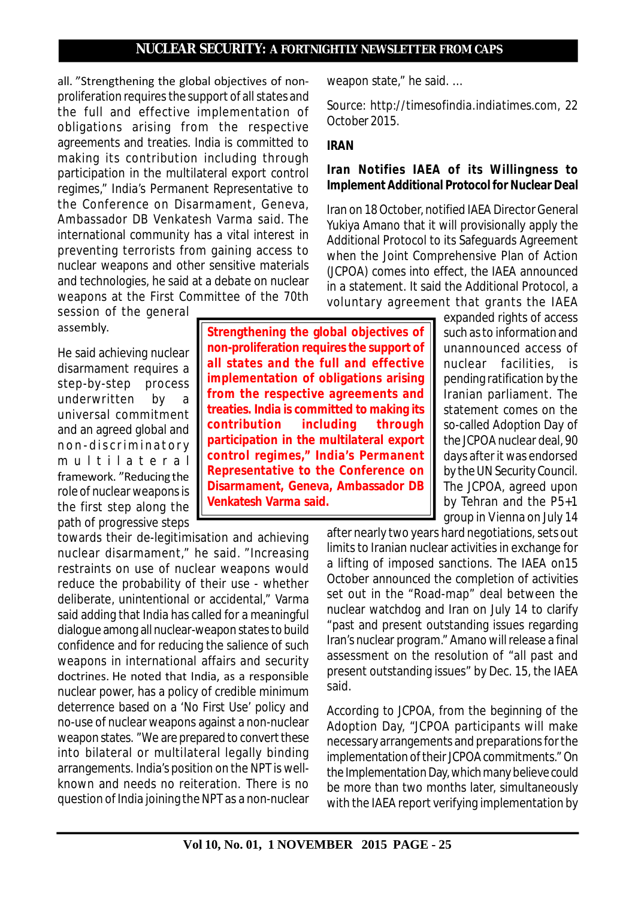all. "Strengthening the global objectives of nonproliferation requires the support of all states and the full and effective implementation of obligations arising from the respective agreements and treaties. India is committed to making its contribution including through participation in the multilateral export control regimes," India's Permanent Representative to the Conference on Disarmament, Geneva, Ambassador DB Venkatesh Varma said. The international community has a vital interest in preventing terrorists from gaining access to nuclear weapons and other sensitive materials and technologies, he said at a debate on nuclear weapons at the First Committee of the 70th

session of the general assembly.

He said achieving nuclear disarmament requires a step-by-step process underwritten by a universal commitment and an agreed global and non-discriminatory multilateral framework. "Reducing the role of nuclear weapons is the first step along the path of progressive steps

towards their de-legitimisation and achieving nuclear disarmament," he said. "Increasing restraints on use of nuclear weapons would reduce the probability of their use - whether deliberate, unintentional or accidental," Varma said adding that India has called for a meaningful dialogue among all nuclear-weapon states to build confidence and for reducing the salience of such weapons in international affairs and security doctrines. He noted that India, as a responsible nuclear power, has a policy of credible minimum deterrence based on a 'No First Use' policy and no-use of nuclear weapons against a non-nuclear weapon states. "We are prepared to convert these into bilateral or multilateral legally binding arrangements. India's position on the NPT is wellknown and needs no reiteration. There is no question of India joining the NPT as a non-nuclear

**Strengthening the global objectives of non-proliferation requires the support of all states and the full and effective implementation of obligations arising from the respective agreements and treaties. India is committed to making its contribution including through participation in the multilateral export control regimes," India's Permanent Representative to the Conference on Disarmament, Geneva, Ambassador DB**

**Venkatesh Varma said.**

weapon state," he said. …

*Source: http://timesofindia.indiatimes.com, 22 October 2015.*

### **IRAN**

### **Iran Notifies IAEA of its Willingness to Implement Additional Protocol for Nuclear Deal**

Iran on 18 October, notified IAEA Director General Yukiya Amano that it will provisionally apply the Additional Protocol to its Safeguards Agreement when the Joint Comprehensive Plan of Action (JCPOA) comes into effect, the IAEA announced in a statement. It said the Additional Protocol, a voluntary agreement that grants the IAEA

expanded rights of access such as to information and unannounced access of nuclear facilities, is pending ratification by the Iranian parliament. The statement comes on the so-called Adoption Day of the JCPOA nuclear deal, 90 days after it was endorsed by the UN Security Council. The JCPOA, agreed upon by Tehran and the P5+1 group in Vienna on July 14

after nearly two years hard negotiations, sets out limits to Iranian nuclear activities in exchange for a lifting of imposed sanctions. The IAEA on15 October announced the completion of activities set out in the "Road-map" deal between the nuclear watchdog and Iran on July 14 to clarify "past and present outstanding issues regarding Iran's nuclear program." Amano will release a final assessment on the resolution of "all past and present outstanding issues" by Dec. 15, the IAEA said.

According to JCPOA, from the beginning of the Adoption Day, "JCPOA participants will make necessary arrangements and preparations for the implementation of their JCPOA commitments." On the Implementation Day, which many believe could be more than two months later, simultaneously with the IAEA report verifying implementation by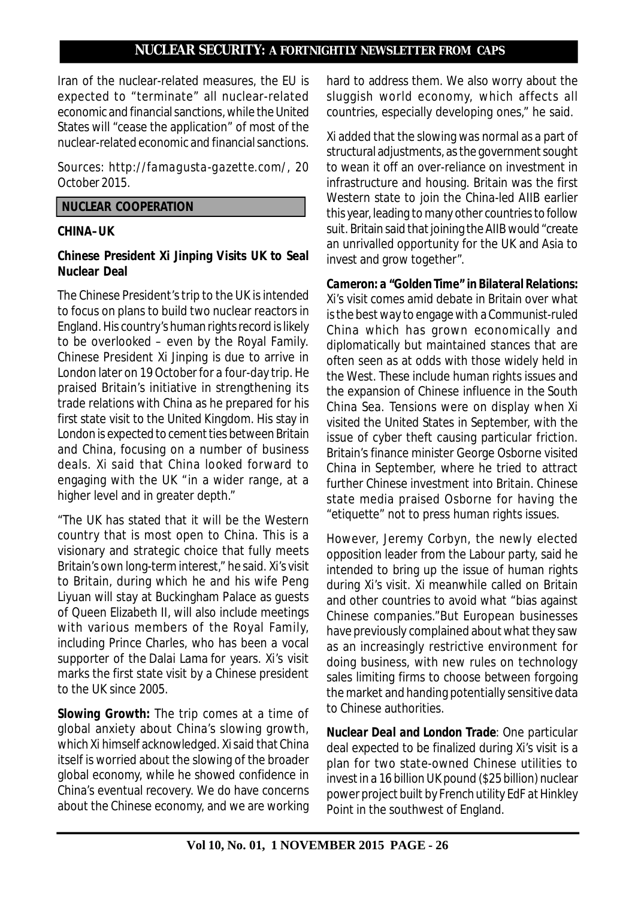Iran of the nuclear-related measures, the EU is expected to "terminate" all nuclear-related economic and financial sanctions, while the United States will "cease the application" of most of the nuclear-related economic and financial sanctions.

*Sources: http://famagusta-gazette.com/, 20 October 2015.*

#### **NUCLEAR COOPERATION**

# **CHINA–UK**

# **Chinese President Xi Jinping Visits UK to Seal Nuclear Deal**

The Chinese President's trip to the UK is intended to focus on plans to build two nuclear reactors in England. His country's human rights record is likely to be overlooked – even by the Royal Family. Chinese President Xi Jinping is due to arrive in London later on 19 October for a four-day trip. He praised Britain's initiative in strengthening its trade relations with China as he prepared for his first state visit to the United Kingdom. His stay in London is expected to cement ties between Britain and China, focusing on a number of business deals. Xi said that China looked forward to engaging with the UK "in a wider range, at a higher level and in greater depth."

"The UK has stated that it will be the Western country that is most open to China. This is a visionary and strategic choice that fully meets Britain's own long-term interest," he said. Xi's visit to Britain, during which he and his wife Peng Liyuan will stay at Buckingham Palace as guests of Queen Elizabeth II, will also include meetings with various members of the Royal Family, including Prince Charles, who has been a vocal supporter of the Dalai Lama for years. Xi's visit marks the first state visit by a Chinese president to the UK since 2005.

*Slowing Growth:* The trip comes at a time of global anxiety about China's slowing growth, which Xi himself acknowledged. Xi said that China itself is worried about the slowing of the broader global economy, while he showed confidence in China's eventual recovery. We do have concerns about the Chinese economy, and we are working

hard to address them. We also worry about the sluggish world economy, which affects all countries, especially developing ones," he said.

Xi added that the slowing was normal as a part of structural adjustments, as the government sought to wean it off an over-reliance on investment in infrastructure and housing. Britain was the first Western state to join the China-led AIIB earlier this year, leading to many other countries to follow suit. Britain said that joining the AIIB would "create an unrivalled opportunity for the UK and Asia to invest and grow together".

*Cameron: a "Golden Time" in Bilateral Relations:* Xi's visit comes amid debate in Britain over what is the best way to engage with a Communist-ruled China which has grown economically and diplomatically but maintained stances that are often seen as at odds with those widely held in the West. These include human rights issues and the expansion of Chinese influence in the South China Sea. Tensions were on display when Xi visited the United States in September, with the issue of cyber theft causing particular friction. Britain's finance minister George Osborne visited China in September, where he tried to attract further Chinese investment into Britain. Chinese state media praised Osborne for having the "etiquette" not to press human rights issues.

However, Jeremy Corbyn, the newly elected opposition leader from the Labour party, said he intended to bring up the issue of human rights during Xi's visit. Xi meanwhile called on Britain and other countries to avoid what "bias against Chinese companies."But European businesses have previously complained about what they saw as an increasingly restrictive environment for doing business, with new rules on technology sales limiting firms to choose between forgoing the market and handing potentially sensitive data to Chinese authorities.

*Nuclear Deal and London Trade:* One particular deal expected to be finalized during Xi's visit is a plan for two state-owned Chinese utilities to invest in a 16 billion UK pound (\$25 billion) nuclear power project built by French utility EdF at Hinkley Point in the southwest of England.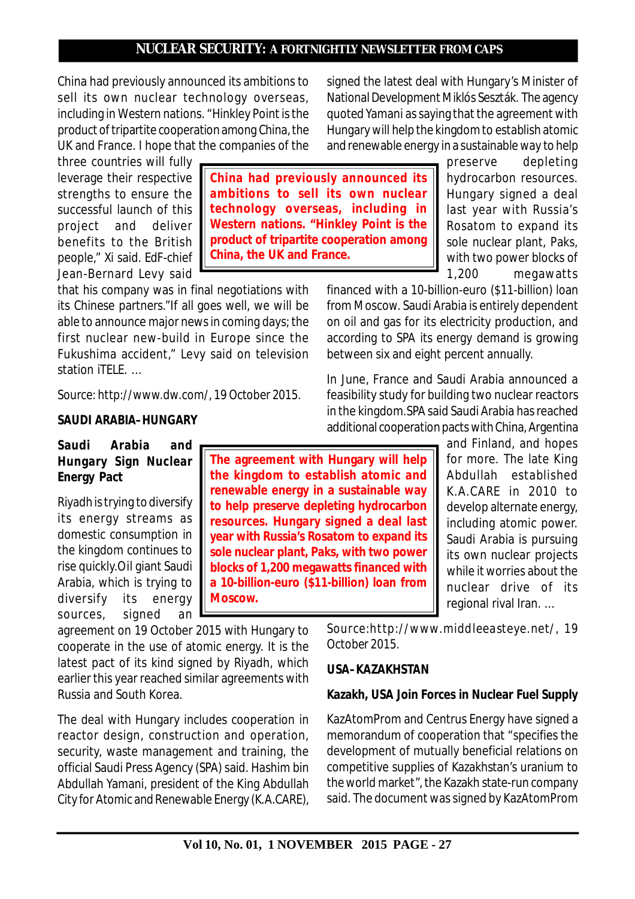China had previously announced its ambitions to sell its own nuclear technology overseas, including in Western nations. "Hinkley Point is the product of tripartite cooperation among China, the UK and France. I hope that the companies of the

three countries will fully leverage their respective strengths to ensure the successful launch of this project and deliver benefits to the British people," Xi said. EdF-chief Jean-Bernard Levy said

that his company was in final negotiations with its Chinese partners."If all goes well, we will be able to announce major news in coming days; the first nuclear new-build in Europe since the Fukushima accident," Levy said on television station iTELE. …

*Source: http://www.dw.com/, 19 October 2015.*

#### **SAUDI ARABIA–HUNGARY**

# **Saudi Arabia and Hungary Sign Nuclear Energy Pact**

Riyadh is trying to diversify its energy streams as domestic consumption in the kingdom continues to rise quickly.Oil giant Saudi Arabia, which is trying to diversify its energy sources, signed an

agreement on 19 October 2015 with Hungary to cooperate in the use of atomic energy. It is the latest pact of its kind signed by Riyadh, which earlier this year reached similar agreements with Russia and South Korea.

**Moscow.**

The deal with Hungary includes cooperation in reactor design, construction and operation, security, waste management and training, the official Saudi Press Agency (SPA) said. Hashim bin Abdullah Yamani, president of the King Abdullah City for Atomic and Renewable Energy (K.A.CARE),

financed with a 10-billion-euro (\$11-billion) loan from Moscow. Saudi Arabia is entirely dependent on oil and gas for its electricity production, and according to SPA its energy demand is growing between six and eight percent annually.

In June, France and Saudi Arabia announced a feasibility study for building two nuclear reactors in the kingdom.SPA said Saudi Arabia has reached additional cooperation pacts with China, Argentina

signed the latest deal with Hungary's Minister of National Development Miklós Seszták. The agency quoted Yamani as saying that the agreement with Hungary will help the kingdom to establish atomic

> for more. The late King Abdullah established K.A.CARE in 2010 to develop alternate energy, including atomic power. Saudi Arabia is pursuing its own nuclear projects while it worries about the nuclear drive of its regional rival Iran. …

*Source:http://www.middleeasteye.net/, 19 October 2015.*

# **USA–KAZAKHSTAN**

#### **Kazakh, USA Join Forces in Nuclear Fuel Supply**

KazAtomProm and Centrus Energy have signed a memorandum of cooperation that "specifies the development of mutually beneficial relations on competitive supplies of Kazakhstan's uranium to the world market", the Kazakh state-run company said. The document was signed by KazAtomProm

**Vol 10, No. 01, 1 NOVEMBER 2015 PAGE - 27**

**China had previously announced its ambitions to sell its own nuclear technology overseas, including in Western nations. "Hinkley Point is the product of tripartite cooperation among China, the UK and France.**

and renewable energy in a sustainable way to help preserve depleting hydrocarbon resources. Hungary signed a deal last year with Russia's Rosatom to expand its sole nuclear plant, Paks, with two power blocks of 1,200 megawatts

and Finland, and hopes **The agreement with Hungary will help the kingdom to establish atomic and renewable energy in a sustainable way to help preserve depleting hydrocarbon resources. Hungary signed a deal last year with Russia's Rosatom to expand its sole nuclear plant, Paks, with two power blocks of 1,200 megawatts financed with a 10-billion-euro (\$11-billion) loan from**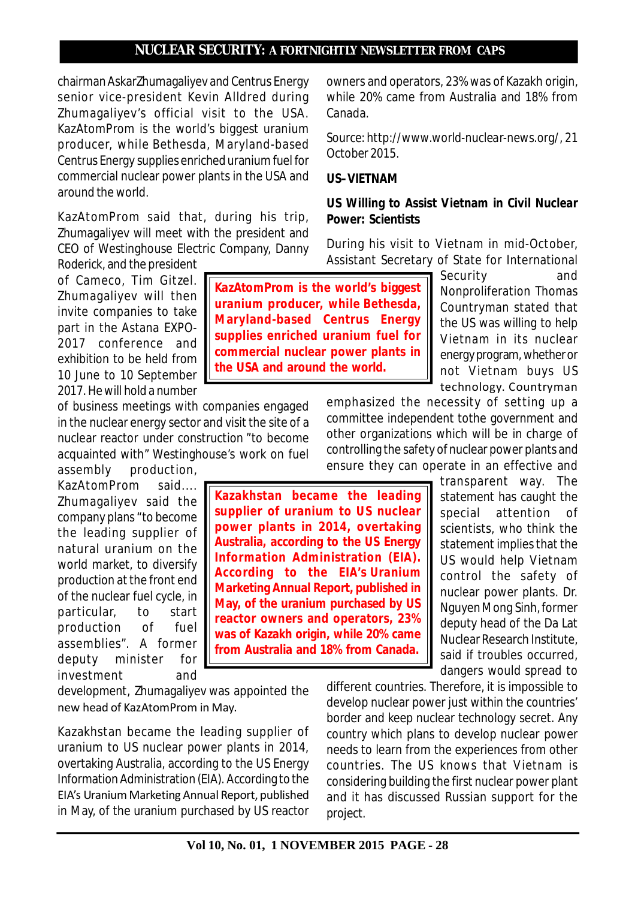chairman AskarZhumagaliyev and Centrus Energy senior vice-president Kevin Alldred during Zhumagaliyev's official visit to the USA. KazAtomProm is the world's biggest uranium producer, while Bethesda, Maryland-based Centrus Energy supplies enriched uranium fuel for commercial nuclear power plants in the USA and around the world.

KazAtomProm said that, during his trip, Zhumagaliyev will meet with the president and CEO of Westinghouse Electric Company, Danny Roderick, and the president

of Cameco, Tim Gitzel. Zhumagaliyev will then invite companies to take part in the Astana EXPO-2017 conference and exhibition to be held from 10 June to 10 September 2017. He will hold a number

of business meetings with companies engaged in the nuclear energy sector and visit the site of a nuclear reactor under construction "to become acquainted with" Westinghouse's work on fuel

assembly production, KazAtomProm said.... Zhumagaliyev said the company plans "to become the leading supplier of natural uranium on the world market, to diversify production at the front end of the nuclear fuel cycle, in particular, to start production of fuel assemblies". A former deputy minister for investment and

development, Zhumagaliyev was appointed the new head of KazAtomProm in May.

Kazakhstan became the leading supplier of uranium to US nuclear power plants in 2014, overtaking Australia, according to the US Energy Information Administration (EIA). According to the EIA's Uranium Marketing Annual Report, published in May, of the uranium purchased by US reactor owners and operators, 23% was of Kazakh origin, while 20% came from Australia and 18% from Canada.

*Source: http://www.world-nuclear-news.org/, 21 October 2015.*

#### **US–VIETNAM**

# **US Willing to Assist Vietnam in Civil Nuclear Power: Scientists**

During his visit to Vietnam in mid-October, Assistant Secretary of State for International

**KazAtomProm is the world's biggest uranium producer, while Bethesda, Maryland-based Centrus Energy supplies enriched uranium fuel for commercial nuclear power plants in the USA and around the world.**

Security and Nonproliferation Thomas Countryman stated that the US was willing to help V ietnam in its nuclear energy program, whether or not Vietnam buys US technology. Countryman

emphasized the necessity of setting up a committee independent tothe government and other organizations which will be in charge of controlling the safety of nuclear power plants and ensure they can operate in an effective and

**Kazakhstan became the leading supplier of uranium to US nuclear power plants in 2014, overtaking Australia, according to the US Energy Information Administration (EIA). According to the EIA's Uranium Marketing Annual Report, published in May, of the uranium purchased by US reactor owners and operators, 23% was of Kazakh origin, while 20% came from Australia and 18% from Canada.**

transparent way. The statement has caught the special attention of scientists, who think the statement implies that the US would help Vietnam control the safety of nuclear power plants. Dr. Nguyen Mong Sinh, former deputy head of the Da Lat Nuclear Research Institute, said if troubles occurred, dangers would spread to

different countries. Therefore, it is impossible to develop nuclear power just within the countries' border and keep nuclear technology secret. Any country which plans to develop nuclear power needs to learn from the experiences from other countries. The US knows that Vietnam is considering building the first nuclear power plant and it has discussed Russian support for the project.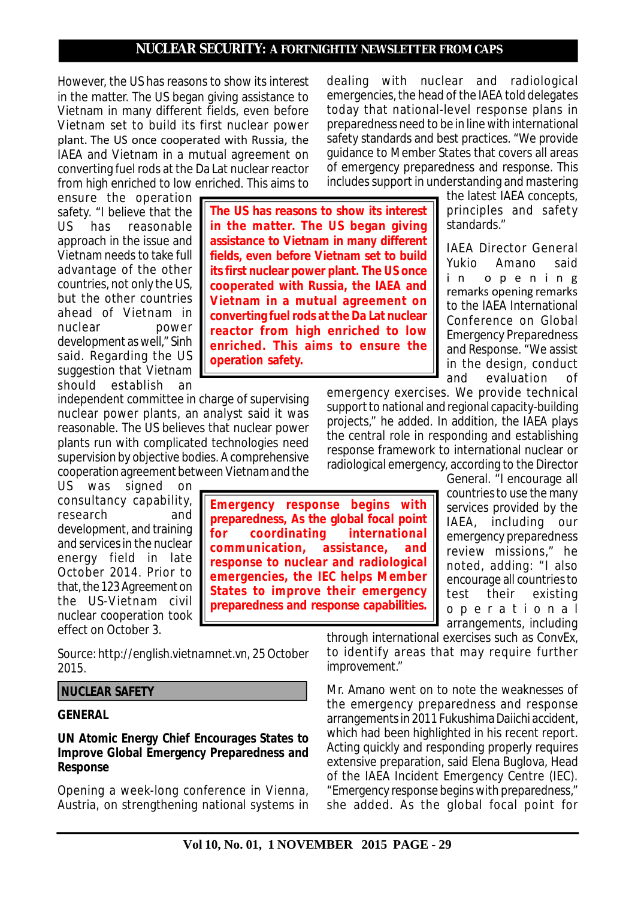However, the US has reasons to show its interest in the matter. The US began giving assistance to Vietnam in many different fields, even before Vietnam set to build its first nuclear power plant. The US once cooperated with Russia, the IAEA and Vietnam in a mutual agreement on converting fuel rods at the Da Lat nuclear reactor from high enriched to low enriched. This aims to

ensure the operation safety. "I believe that the US has reasonable approach in the issue and Vietnam needs to take full advantage of the other countries, not only the US, but the other countries ahead of Vietnam in nuclear power development as well," Sinh said. Regarding the US suggestion that Vietnam should establish an

independent committee in charge of supervising nuclear power plants, an analyst said it was reasonable. The US believes that nuclear power plants run with complicated technologies need supervision by objective bodies. A comprehensive cooperation agreement between Vietnam and the

US was signed on consultancy capability, research and development, and training and services in the nuclear energy field in late October 2014. Prior to that, the 123 Agreement on the US-Vietnam civil nuclear cooperation took effect on October 3.

*Source: http://english.vietnamnet.vn, 25 October 2015.*

#### **NUCLEAR SAFETY**

#### **GENERAL**

#### **UN Atomic Energy Chief Encourages States to Improve Global Emergency Preparedness and Response**

Opening a week-long conference in Vienna, Austria, on strengthening national systems in dealing with nuclear and radiological emergencies, the head of the IAEA told delegates today that national-level response plans in preparedness need to be in line with international safety standards and best practices. "We provide guidance to Member States that covers all areas of emergency preparedness and response. This includes support in understanding and mastering

**The US has reasons to show its interest in the matter. The US began giving assistance to Vietnam in many different fields, even before Vietnam set to build its first nuclear power plant. The US once cooperated with Russia, the IAEA and V ietnam in a mutual agreement on converting fuel rods at the Da Lat nuclear reactor from high enriched to low enriched. This aims to ensure the operation safety.**

the latest IAEA concepts, principles and safety standards."

IAEA Director General Yukio Amano said i n o p e n i n g remarks opening remarks to the IAEA International Conference on Global Emergency Preparedness and Response. "We assist in the design, conduct and evaluation of

emergency exercises. We provide technical support to national and regional capacity-building projects," he added. In addition, the IAEA plays the central role in responding and establishing response framework to international nuclear or radiological emergency, according to the Director

General. "I encourage all countries to use the many services provided by the IAEA, including our emergency preparedness review missions," he noted, adding: "I also encourage all countries to test their existing o p e r a t i o n a l arrangements, including

through international exercises such as ConvEx, to identify areas that may require further improvement."

Mr. Amano went on to note the weaknesses of the emergency preparedness and response arrangements in 2011 Fukushima Daiichi accident, which had been highlighted in his recent report. Acting quickly and responding properly requires extensive preparation, said Elena Buglova, Head of the IAEA Incident Emergency Centre (IEC). "Emergency response begins with preparedness," she added. As the global focal point for

# **Emergency response begins with preparedness, As the global focal point for coordinating international communication, assistance, and response to nuclear and radiological emergencies, the IEC helps Member States to improve their emergency preparedness and response capabilities.**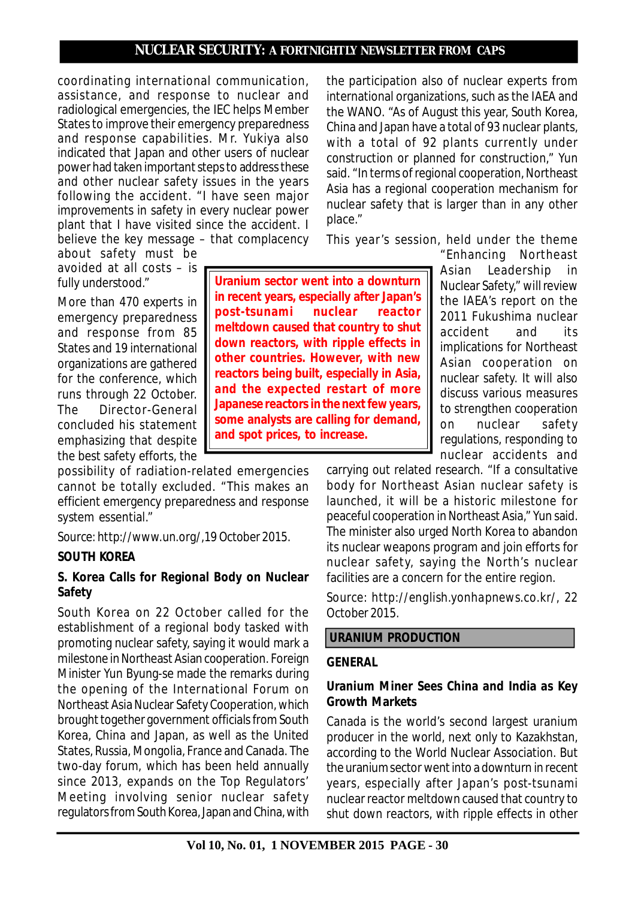coordinating international communication, assistance, and response to nuclear and radiological emergencies, the IEC helps Member States to improve their emergency preparedness and response capabilities. Mr. Yukiya also indicated that Japan and other users of nuclear power had taken important steps to address these and other nuclear safety issues in the years following the accident. "I have seen major improvements in safety in every nuclear power plant that I have visited since the accident. I believe the key message – that complacency

about safety must be avoided at all costs – is fully understood."

More than 470 experts in emergency preparedness and response from 85 States and 19 international organizations are gathered for the conference, which runs through 22 October. The Director-General concluded his statement emphasizing that despite the best safety efforts, the

possibility of radiation-related emergencies cannot be totally excluded. "This makes an efficient emergency preparedness and response system essential."

*Source: http://www.un.org/,19 October 2015.*

# **SOUTH KOREA**

# **S. Korea Calls for Regional Body on Nuclear Safety**

South Korea on 22 October called for the establishment of a regional body tasked with promoting nuclear safety, saying it would mark a milestone in Northeast Asian cooperation. Foreign Minister Yun Byung-se made the remarks during the opening of the International Forum on Northeast Asia Nuclear Safety Cooperation, which brought together government officials from South Korea, China and Japan, as well as the United States, Russia, Mongolia, France and Canada. The two-day forum, which has been held annually since 2013, expands on the Top Regulators' Meeting involving senior nuclear safety regulators from South Korea, Japan and China, with

the participation also of nuclear experts from international organizations, such as the IAEA and the WANO. "As of August this year, South Korea, China and Japan have a total of 93 nuclear plants, with a total of 92 plants currently under construction or planned for construction," Yun said. "In terms of regional cooperation, Northeast Asia has a regional cooperation mechanism for nuclear safety that is larger than in any other place."

This year's session, held under the theme

**Uranium sector went into a downturn in recent years, especially after Japan's post-tsunami nuclear reactor meltdown caused that country to shut down reactors, with ripple effects in other countries. However, with new reactors being built, especially in Asia, and the expected restart of more Japanese reactors in the next few years, some analysts are calling for demand, and spot prices, to increase.**

"Enhancing Northeast Asian Leadership in Nuclear Safety," will review the IAEA's report on the 2011 Fukushima nuclear accident and its implications for Northeast Asian cooperation on nuclear safety. It will also discuss various measures to strengthen cooperation on nuclear safety regulations, responding to nuclear accidents and

carrying out related research. "If a consultative body for Northeast Asian nuclear safety is launched, it will be a historic milestone for peaceful cooperation in Northeast Asia," Yun said. The minister also urged North Korea to abandon its nuclear weapons program and join efforts for nuclear safety, saying the North's nuclear facilities are a concern for the entire region.

*Source: http://english.yonhapnews.co.kr/, 22 October 2015.*

#### **URANIUM PRODUCTION**

#### **GENERAL**

#### **Uranium Miner Sees China and India as Key Growth Markets**

Canada is the world's second largest uranium producer in the world, next only to Kazakhstan, according to the World Nuclear Association. But the uranium sector went into a downturn in recent years, especially after Japan's post-tsunami nuclear reactor meltdown caused that country to shut down reactors, with ripple effects in other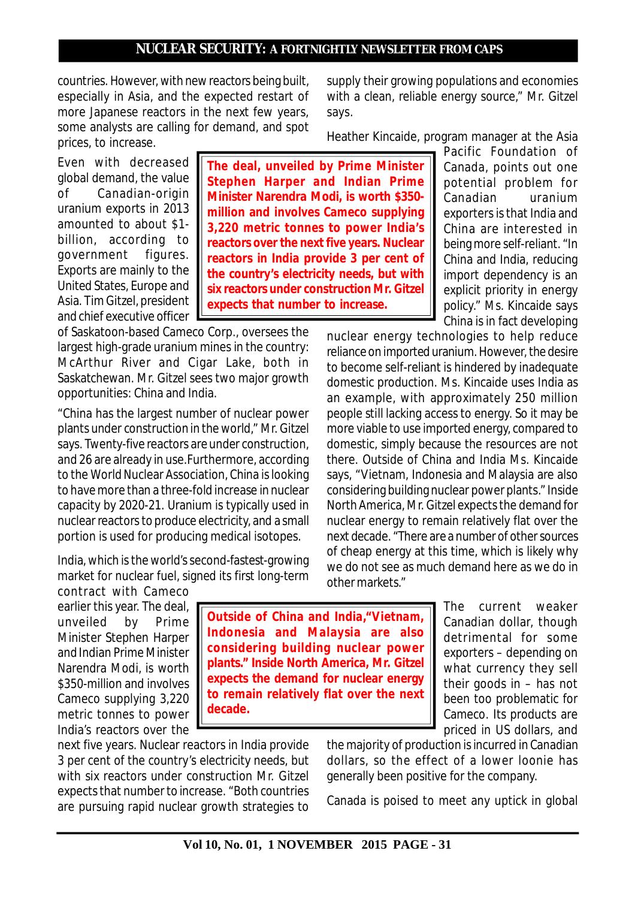countries. However, with new reactors being built, especially in Asia, and the expected restart of more Japanese reactors in the next few years, some analysts are calling for demand, and spot prices, to increase.

Even with decreased global demand, the value of Canadian-origin uranium exports in 2013 amounted to about \$1 billion, according to government figures. Exports are mainly to the United States, Europe and Asia. Tim Gitzel, president and chief executive officer

of Saskatoon-based Cameco Corp., oversees the largest high-grade uranium mines in the country: McArthur River and Cigar Lake, both in Saskatchewan. Mr. Gitzel sees two major growth opportunities: China and India.

"China has the largest number of nuclear power plants under construction in the world," Mr. Gitzel says. Twenty-five reactors are under construction, and 26 are already in use.Furthermore, according to the World Nuclear Association, China is looking to have more than a three-fold increase in nuclear capacity by 2020-21. Uranium is typically used in nuclear reactors to produce electricity, and a small portion is used for producing medical isotopes.

India, which is the world's second-fastest-growing market for nuclear fuel, signed its first long-term

contract with Cameco earlier this year. The deal, unveiled by Prime Minister Stephen Harper and Indian Prime Minister Narendra Modi, is worth \$350-million and involves Cameco supplying 3,220 metric tonnes to power India's reactors over the

**Outside of China and India,"Vietnam, Indonesia and Malaysia are also considering building nuclear power plants." Inside North America, Mr. Gitzel expects the demand for nuclear energy to remain relatively flat over the next decade.**

Canadian dollar, though detrimental for some exporters – depending on what currency they sell their goods in – has not been too problematic for Cameco. Its products are priced in US dollars, and

The current weaker

being more self-reliant. "In China and India, reducing import dependency is an explicit priority in energy policy." Ms. Kincaide says China is in fact developing

reliance on imported uranium. However, the desire to become self-reliant is hindered by inadequate domestic production. Ms. Kincaide uses India as an example, with approximately 250 million people still lacking access to energy. So it may be more viable to use imported energy, compared to domestic, simply because the resources are not there. Outside of China and India Ms. Kincaide says, "Vietnam, Indonesia and Malaysia are also considering building nuclear power plants." Inside North America, Mr. Gitzel expects the demand for nuclear energy to remain relatively flat over the next decade. "There are a number of other sources of cheap energy at this time, which is likely why we do not see as much demand here as we do in other markets."

supply their growing populations and economies with a clean, reliable energy source," Mr. Gitzel says.

Heather Kincaide, program manager at the Asia

Pacific Foundation of Canada, points out one potential problem for Canadian uranium exporters is that India and China are interested in nuclear energy technologies to help reduce **The deal, unveiled by Prime Minister Stephen Harper and Indian Prime Minister Narendra Modi, is worth \$350 million and involves Cameco supplying 3,220 metric tonnes to power India's reactors over the next five years. Nuclear reactors in India provide 3 per cent of the country's electricity needs, but with six reactors under construction Mr. Gitzel expects that number to increase.**

next five years. Nuclear reactors in India provide 3 per cent of the country's electricity needs, but with six reactors under construction Mr. Gitzel expects that number to increase. "Both countries are pursuing rapid nuclear growth strategies to the majority of production is incurred in Canadian dollars, so the effect of a lower loonie has generally been positive for the company.

Canada is poised to meet any uptick in global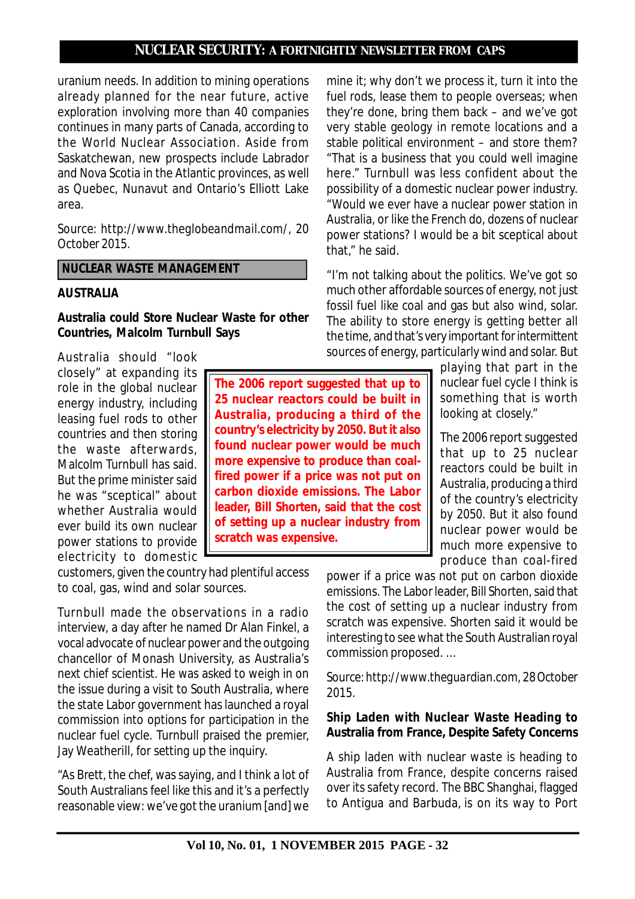uranium needs. In addition to mining operations already planned for the near future, active exploration involving more than 40 companies continues in many parts of Canada, according to the World Nuclear Association. Aside from Saskatchewan, new prospects include Labrador and Nova Scotia in the Atlantic provinces, as well as Quebec, Nunavut and Ontario's Elliott Lake area.

*Source: http://www.theglobeandmail.com/, 20 October 2015.*

 **NUCLEAR WASTE MANAGEMENT**

#### **AUSTRALIA**

**Australia could Store Nuclear Waste for other Countries, Malcolm Turnbull Says**

Australia should "look closely" at expanding its role in the global nuclear energy industry, including leasing fuel rods to other countries and then storing the waste afterwards, Malcolm Turnbull has said. But the prime minister said he was "sceptical" about whether Australia would ever build its own nuclear power stations to provide electricity to domestic

customers, given the country had plentiful access to coal, gas, wind and solar sources.

Turnbull made the observations in a radio interview, a day after he named Dr Alan Finkel, a vocal advocate of nuclear power and the outgoing chancellor of Monash University, as Australia's next chief scientist. He was asked to weigh in on the issue during a visit to South Australia, where the state Labor government has launched a royal commission into options for participation in the nuclear fuel cycle. Turnbull praised the premier, Jay Weatherill, for setting up the inquiry.

"As Brett, the chef, was saying, and I think a lot of South Australians feel like this and it's a perfectly reasonable view: we've got the uranium [and] we

mine it; why don't we process it, turn it into the fuel rods, lease them to people overseas; when they're done, bring them back – and we've got very stable geology in remote locations and a stable political environment – and store them? "That is a business that you could well imagine here." Turnbull was less confident about the possibility of a domestic nuclear power industry. "Would we ever have a nuclear power station in Australia, or like the French do, dozens of nuclear power stations? I would be a bit sceptical about that," he said.

"I'm not talking about the politics. We've got so much other affordable sources of energy, not just fossil fuel like coal and gas but also wind, solar. The ability to store energy is getting better all the time, and that's very important for intermittent sources of energy, particularly wind and solar. But

> playing that part in the nuclear fuel cycle I think is something that is worth looking at closely."

> The 2006 report suggested that up to 25 nuclear reactors could be built in Australia, producing a third of the country's electricity by 2050. But it also found nuclear power would be much more expensive to produce than coal-fired

power if a price was not put on carbon dioxide emissions. The Labor leader, Bill Shorten, said that the cost of setting up a nuclear industry from scratch was expensive. Shorten said it would be interesting to see what the South Australian royal commission proposed. …

*Source: http://www.theguardian.com, 28 October 2015.*

# **Ship Laden with Nuclear Waste Heading to Australia from France, Despite Safety Concerns**

A ship laden with nuclear waste is heading to Australia from France, despite concerns raised over its safety record. The BBC Shanghai, flagged to Antigua and Barbuda, is on its way to Port

**25 nuclear reactors could be built in Australia, producing a third of the country's electricity by 2050. But it also found nuclear power would be much more expensive to produce than coalfired power if a price was not put on carbon dioxide emissions. The Labor leader, Bill Shorten, said that the cost of setting up a nuclear industry from scratch was expensive.**

**The 2006 report suggested that up to**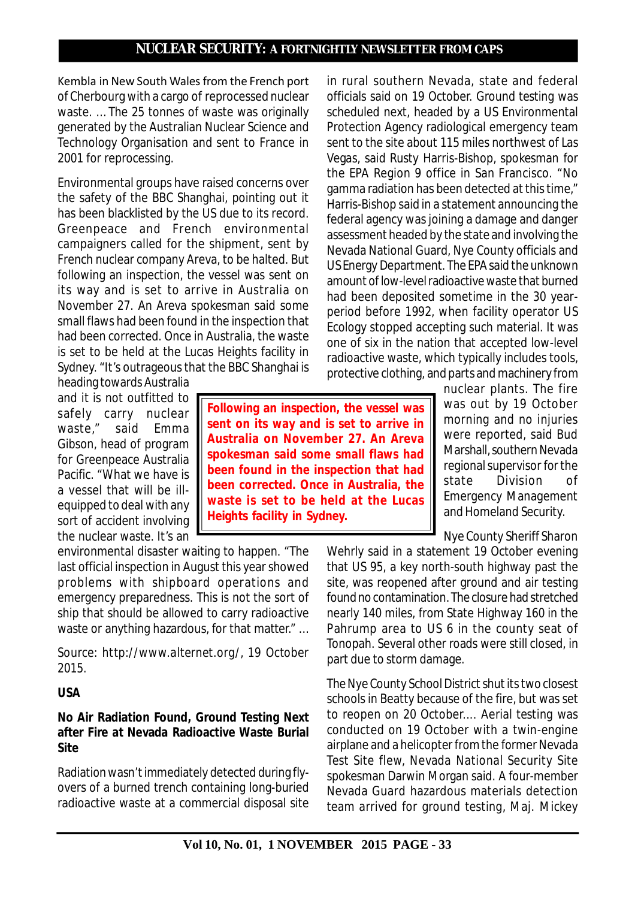Kembla in New South Wales from the French port of Cherbourg with a cargo of reprocessed nuclear waste. … The 25 tonnes of waste was originally generated by the Australian Nuclear Science and Technology Organisation and sent to France in 2001 for reprocessing.

Environmental groups have raised concerns over the safety of the BBC Shanghai, pointing out it has been blacklisted by the US due to its record. Greenpeace and French environmental campaigners called for the shipment, sent by French nuclear company Areva, to be halted. But following an inspection, the vessel was sent on its way and is set to arrive in Australia on November 27. An Areva spokesman said some small flaws had been found in the inspection that had been corrected. Once in Australia, the waste is set to be held at the Lucas Heights facility in Sydney. "It's outrageous that the BBC Shanghai is

heading towards Australia and it is not outfitted to safely carry nuclear waste," said Emma Gibson, head of program for Greenpeace Australia Pacific. "What we have is a vessel that will be illequipped to deal with any sort of accident involving the nuclear waste. It's an

**Following an inspection, the vessel was sent on its way and is set to arrive in Australia on November 27. An Areva spokesman said some small flaws had been found in the inspection that had been corrected. Once in Australia, the waste is set to be held at the Lucas Heights facility in Sydney.**

environmental disaster waiting to happen. "The last official inspection in August this year showed problems with shipboard operations and emergency preparedness. This is not the sort of ship that should be allowed to carry radioactive waste or anything hazardous, for that matter." ...

*Source: http://www.alternet.org/, 19 October 2015.*

# **USA**

# **No Air Radiation Found, Ground Testing Next after Fire at Nevada Radioactive Waste Burial Site**

Radiation wasn't immediately detected during flyovers of a burned trench containing long-buried radioactive waste at a commercial disposal site

in rural southern Nevada, state and federal officials said on 19 October. Ground testing was scheduled next, headed by a US Environmental Protection Agency radiological emergency team sent to the site about 115 miles northwest of Las Vegas, said Rusty Harris-Bishop, spokesman for the EPA Region 9 office in San Francisco. "No gamma radiation has been detected at this time," Harris-Bishop said in a statement announcing the federal agency was joining a damage and danger assessment headed by the state and involving the Nevada National Guard, Nye County officials and US Energy Department. The EPA said the unknown amount of low-level radioactive waste that burned had been deposited sometime in the 30 yearperiod before 1992, when facility operator US Ecology stopped accepting such material. It was one of six in the nation that accepted low-level radioactive waste, which typically includes tools, protective clothing, and parts and machinery from

> nuclear plants. The fire was out by 19 October morning and no injuries were reported, said Bud Marshall, southern Nevada regional supervisor for the state Division of Emergency Management and Homeland Security.

Nye County Sheriff Sharon

Wehrly said in a statement 19 October evening that US 95, a key north-south highway past the site, was reopened after ground and air testing found no contamination. The closure had stretched nearly 140 miles, from State Highway 160 in the Pahrump area to US 6 in the county seat of Tonopah. Several other roads were still closed, in part due to storm damage.

The Nye County School District shut its two closest schools in Beatty because of the fire, but was set to reopen on 20 October.... Aerial testing was conducted on 19 October with a twin-engine airplane and a helicopter from the former Nevada Test Site flew, Nevada National Security Site spokesman Darwin Morgan said. A four-member Nevada Guard hazardous materials detection team arrived for ground testing, Maj. Mickey